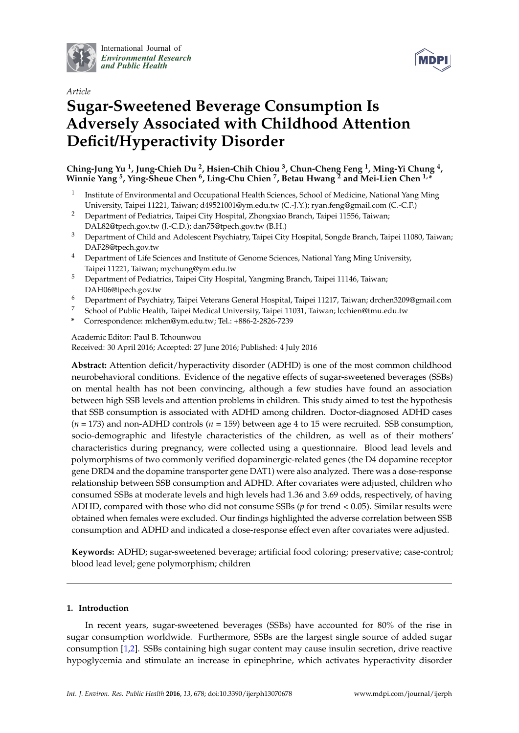

International Journal of *[Environmental Research](http://www.mdpi.com/journal/ijerph) and Public Health*



# *Article* **Sugar-Sweetened Beverage Consumption Is Adversely Associated with Childhood Attention Deficit/Hyperactivity Disorder**

# **Ching-Jung Yu <sup>1</sup> , Jung-Chieh Du <sup>2</sup> , Hsien-Chih Chiou <sup>3</sup> , Chun-Cheng Feng <sup>1</sup> , Ming-Yi Chung <sup>4</sup> , Winnie Yang <sup>5</sup> , Ying-Sheue Chen <sup>6</sup> , Ling-Chu Chien <sup>7</sup> , Betau Hwang <sup>2</sup> and Mei-Lien Chen 1,\***

- 1 Institute of Environmental and Occupational Health Sciences, School of Medicine, National Yang Ming University, Taipei 11221, Taiwan; d49521001@ym.edu.tw (C.-J.Y.); ryan.feng@gmail.com (C.-C.F.)
- <sup>2</sup> Department of Pediatrics, Taipei City Hospital, Zhongxiao Branch, Taipei 11556, Taiwan; DAL82@tpech.gov.tw (J.-C.D.); dan75@tpech.gov.tw (B.H.)
- <sup>3</sup> Department of Child and Adolescent Psychiatry, Taipei City Hospital, Songde Branch, Taipei 11080, Taiwan; DAF28@tpech.gov.tw
- <sup>4</sup> Department of Life Sciences and Institute of Genome Sciences, National Yang Ming University, Taipei 11221, Taiwan; mychung@ym.edu.tw
- <sup>5</sup> Department of Pediatrics, Taipei City Hospital, Yangming Branch, Taipei 11146, Taiwan; DAH06@tpech.gov.tw
- <sup>6</sup> Department of Psychiatry, Taipei Veterans General Hospital, Taipei 11217, Taiwan; drchen3209@gmail.com
- <sup>7</sup> School of Public Health, Taipei Medical University, Taipei 11031, Taiwan; lcchien@tmu.edu.tw
- **\*** Correspondence: mlchen@ym.edu.tw; Tel.: +886-2-2826-7239

## Academic Editor: Paul B. Tchounwou

Received: 30 April 2016; Accepted: 27 June 2016; Published: 4 July 2016

**Abstract:** Attention deficit/hyperactivity disorder (ADHD) is one of the most common childhood neurobehavioral conditions. Evidence of the negative effects of sugar-sweetened beverages (SSBs) on mental health has not been convincing, although a few studies have found an association between high SSB levels and attention problems in children. This study aimed to test the hypothesis that SSB consumption is associated with ADHD among children. Doctor-diagnosed ADHD cases (*n* = 173) and non-ADHD controls (*n* = 159) between age 4 to 15 were recruited. SSB consumption, socio-demographic and lifestyle characteristics of the children, as well as of their mothers' characteristics during pregnancy, were collected using a questionnaire. Blood lead levels and polymorphisms of two commonly verified dopaminergic-related genes (the D4 dopamine receptor gene DRD4 and the dopamine transporter gene DAT1) were also analyzed. There was a dose-response relationship between SSB consumption and ADHD. After covariates were adjusted, children who consumed SSBs at moderate levels and high levels had 1.36 and 3.69 odds, respectively, of having ADHD, compared with those who did not consume SSBs (*p* for trend < 0.05). Similar results were obtained when females were excluded. Our findings highlighted the adverse correlation between SSB consumption and ADHD and indicated a dose-response effect even after covariates were adjusted.

**Keywords:** ADHD; sugar-sweetened beverage; artificial food coloring; preservative; case-control; blood lead level; gene polymorphism; children

## **1. Introduction**

In recent years, sugar-sweetened beverages (SSBs) have accounted for 80% of the rise in sugar consumption worldwide. Furthermore, SSBs are the largest single source of added sugar consumption [\[1,](#page-12-0)[2\]](#page-12-1). SSBs containing high sugar content may cause insulin secretion, drive reactive hypoglycemia and stimulate an increase in epinephrine, which activates hyperactivity disorder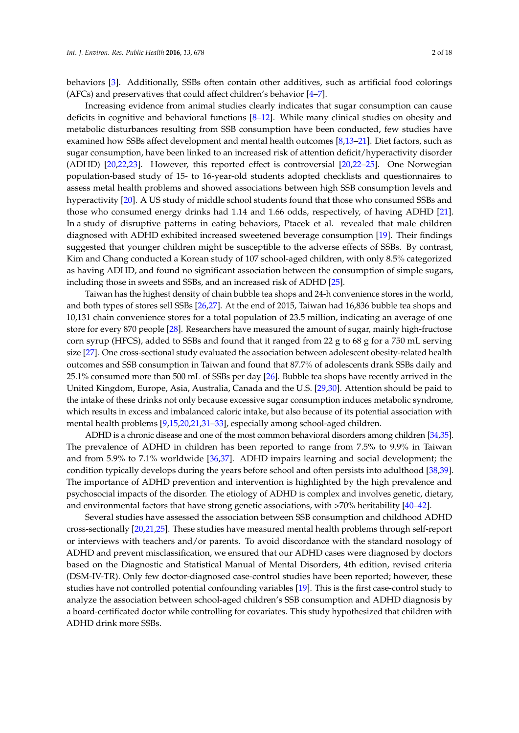behaviors [\[3\]](#page-13-0). Additionally, SSBs often contain other additives, such as artificial food colorings (AFCs) and preservatives that could affect children's behavior [\[4–](#page-13-1)[7\]](#page-13-2).

Increasing evidence from animal studies clearly indicates that sugar consumption can cause deficits in cognitive and behavioral functions [\[8–](#page-13-3)[12\]](#page-13-4). While many clinical studies on obesity and metabolic disturbances resulting from SSB consumption have been conducted, few studies have examined how SSBs affect development and mental health outcomes [\[8,](#page-13-3)[13](#page-13-5)[–21\]](#page-13-6). Diet factors, such as sugar consumption, have been linked to an increased risk of attention deficit/hyperactivity disorder (ADHD) [\[20](#page-13-7)[,22](#page-13-8)[,23\]](#page-14-0). However, this reported effect is controversial [\[20,](#page-13-7)[22–](#page-13-8)[25\]](#page-14-1). One Norwegian population-based study of 15- to 16-year-old students adopted checklists and questionnaires to assess metal health problems and showed associations between high SSB consumption levels and hyperactivity [\[20\]](#page-13-7). A US study of middle school students found that those who consumed SSBs and those who consumed energy drinks had 1.14 and 1.66 odds, respectively, of having ADHD [\[21\]](#page-13-6). In a study of disruptive patterns in eating behaviors, Ptacek et al. revealed that male children diagnosed with ADHD exhibited increased sweetened beverage consumption [\[19\]](#page-13-9). Their findings suggested that younger children might be susceptible to the adverse effects of SSBs. By contrast, Kim and Chang conducted a Korean study of 107 school-aged children, with only 8.5% categorized as having ADHD, and found no significant association between the consumption of simple sugars, including those in sweets and SSBs, and an increased risk of ADHD [\[25\]](#page-14-1).

Taiwan has the highest density of chain bubble tea shops and 24-h convenience stores in the world, and both types of stores sell SSBs [\[26](#page-14-2)[,27\]](#page-14-3). At the end of 2015, Taiwan had 16,836 bubble tea shops and 10,131 chain convenience stores for a total population of 23.5 million, indicating an average of one store for every 870 people [\[28\]](#page-14-4). Researchers have measured the amount of sugar, mainly high-fructose corn syrup (HFCS), added to SSBs and found that it ranged from 22 g to 68 g for a 750 mL serving size [\[27\]](#page-14-3). One cross-sectional study evaluated the association between adolescent obesity-related health outcomes and SSB consumption in Taiwan and found that 87.7% of adolescents drank SSBs daily and 25.1% consumed more than 500 mL of SSBs per day [\[26\]](#page-14-2). Bubble tea shops have recently arrived in the United Kingdom, Europe, Asia, Australia, Canada and the U.S. [\[29,](#page-14-5)[30\]](#page-14-6). Attention should be paid to the intake of these drinks not only because excessive sugar consumption induces metabolic syndrome, which results in excess and imbalanced caloric intake, but also because of its potential association with mental health problems [\[9,](#page-13-10)[15,](#page-13-11)[20,](#page-13-7)[21,](#page-13-6)[31](#page-14-7)[–33\]](#page-14-8), especially among school-aged children.

ADHD is a chronic disease and one of the most common behavioral disorders among children [\[34](#page-14-9)[,35\]](#page-14-10). The prevalence of ADHD in children has been reported to range from 7.5% to 9.9% in Taiwan and from 5.9% to 7.1% worldwide [\[36,](#page-14-11)[37\]](#page-14-12). ADHD impairs learning and social development; the condition typically develops during the years before school and often persists into adulthood [\[38,](#page-14-13)[39\]](#page-14-14). The importance of ADHD prevention and intervention is highlighted by the high prevalence and psychosocial impacts of the disorder. The etiology of ADHD is complex and involves genetic, dietary, and environmental factors that have strong genetic associations, with >70% heritability [\[40–](#page-14-15)[42\]](#page-14-16).

Several studies have assessed the association between SSB consumption and childhood ADHD cross-sectionally [\[20](#page-13-7)[,21](#page-13-6)[,25\]](#page-14-1). These studies have measured mental health problems through self-report or interviews with teachers and/or parents. To avoid discordance with the standard nosology of ADHD and prevent misclassification, we ensured that our ADHD cases were diagnosed by doctors based on the Diagnostic and Statistical Manual of Mental Disorders, 4th edition, revised criteria (DSM-IV-TR). Only few doctor-diagnosed case-control studies have been reported; however, these studies have not controlled potential confounding variables [\[19\]](#page-13-9). This is the first case-control study to analyze the association between school-aged children's SSB consumption and ADHD diagnosis by a board-certificated doctor while controlling for covariates. This study hypothesized that children with ADHD drink more SSBs.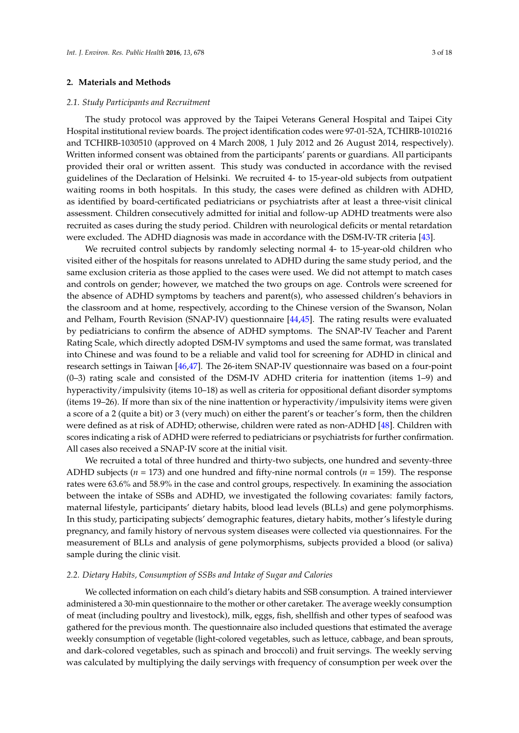## **2. Materials and Methods**

#### *2.1. Study Participants and Recruitment*

The study protocol was approved by the Taipei Veterans General Hospital and Taipei City Hospital institutional review boards. The project identification codes were 97-01-52A, TCHIRB-1010216 and TCHIRB-1030510 (approved on 4 March 2008, 1 July 2012 and 26 August 2014, respectively). Written informed consent was obtained from the participants' parents or guardians. All participants provided their oral or written assent. This study was conducted in accordance with the revised guidelines of the Declaration of Helsinki. We recruited 4- to 15-year-old subjects from outpatient waiting rooms in both hospitals. In this study, the cases were defined as children with ADHD, as identified by board-certificated pediatricians or psychiatrists after at least a three-visit clinical assessment. Children consecutively admitted for initial and follow-up ADHD treatments were also recruited as cases during the study period. Children with neurological deficits or mental retardation were excluded. The ADHD diagnosis was made in accordance with the DSM-IV-TR criteria [\[43\]](#page-15-0).

We recruited control subjects by randomly selecting normal 4- to 15-year-old children who visited either of the hospitals for reasons unrelated to ADHD during the same study period, and the same exclusion criteria as those applied to the cases were used. We did not attempt to match cases and controls on gender; however, we matched the two groups on age. Controls were screened for the absence of ADHD symptoms by teachers and parent(s), who assessed children's behaviors in the classroom and at home, respectively, according to the Chinese version of the Swanson, Nolan and Pelham, Fourth Revision (SNAP-IV) questionnaire [\[44,](#page-15-1)[45\]](#page-15-2). The rating results were evaluated by pediatricians to confirm the absence of ADHD symptoms. The SNAP-IV Teacher and Parent Rating Scale, which directly adopted DSM-IV symptoms and used the same format, was translated into Chinese and was found to be a reliable and valid tool for screening for ADHD in clinical and research settings in Taiwan [\[46,](#page-15-3)[47\]](#page-15-4). The 26-item SNAP-IV questionnaire was based on a four-point (0–3) rating scale and consisted of the DSM-IV ADHD criteria for inattention (items 1–9) and hyperactivity/impulsivity (items 10–18) as well as criteria for oppositional defiant disorder symptoms (items 19–26). If more than six of the nine inattention or hyperactivity/impulsivity items were given a score of a 2 (quite a bit) or 3 (very much) on either the parent's or teacher's form, then the children were defined as at risk of ADHD; otherwise, children were rated as non-ADHD [\[48\]](#page-15-5). Children with scores indicating a risk of ADHD were referred to pediatricians or psychiatrists for further confirmation. All cases also received a SNAP-IV score at the initial visit.

We recruited a total of three hundred and thirty-two subjects, one hundred and seventy-three ADHD subjects (*n* = 173) and one hundred and fifty-nine normal controls (*n* = 159). The response rates were 63.6% and 58.9% in the case and control groups, respectively. In examining the association between the intake of SSBs and ADHD, we investigated the following covariates: family factors, maternal lifestyle, participants' dietary habits, blood lead levels (BLLs) and gene polymorphisms. In this study, participating subjects' demographic features, dietary habits, mother's lifestyle during pregnancy, and family history of nervous system diseases were collected via questionnaires. For the measurement of BLLs and analysis of gene polymorphisms, subjects provided a blood (or saliva) sample during the clinic visit.

### *2.2. Dietary Habits, Consumption of SSBs and Intake of Sugar and Calories*

We collected information on each child's dietary habits and SSB consumption. A trained interviewer administered a 30-min questionnaire to the mother or other caretaker. The average weekly consumption of meat (including poultry and livestock), milk, eggs, fish, shellfish and other types of seafood was gathered for the previous month. The questionnaire also included questions that estimated the average weekly consumption of vegetable (light-colored vegetables, such as lettuce, cabbage, and bean sprouts, and dark-colored vegetables, such as spinach and broccoli) and fruit servings. The weekly serving was calculated by multiplying the daily servings with frequency of consumption per week over the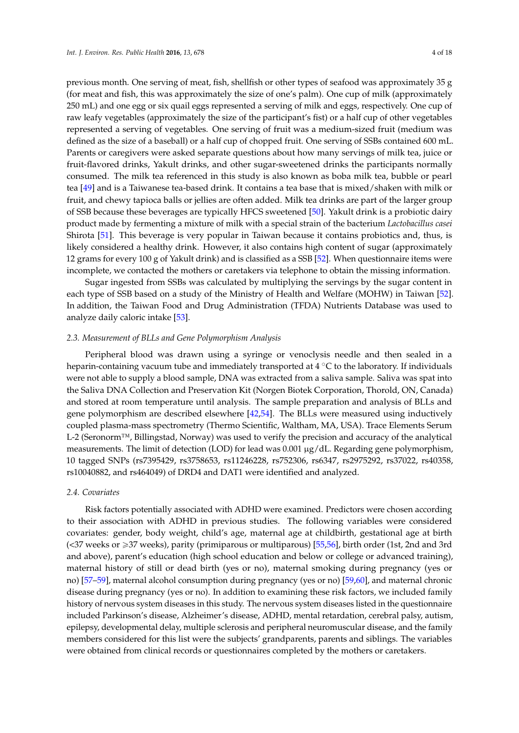previous month. One serving of meat, fish, shellfish or other types of seafood was approximately 35 g (for meat and fish, this was approximately the size of one's palm). One cup of milk (approximately 250 mL) and one egg or six quail eggs represented a serving of milk and eggs, respectively. One cup of raw leafy vegetables (approximately the size of the participant's fist) or a half cup of other vegetables represented a serving of vegetables. One serving of fruit was a medium-sized fruit (medium was defined as the size of a baseball) or a half cup of chopped fruit. One serving of SSBs contained 600 mL. Parents or caregivers were asked separate questions about how many servings of milk tea, juice or fruit-flavored drinks, Yakult drinks, and other sugar-sweetened drinks the participants normally consumed. The milk tea referenced in this study is also known as boba milk tea, bubble or pearl tea [\[49\]](#page-15-6) and is a Taiwanese tea-based drink. It contains a tea base that is mixed/shaken with milk or fruit, and chewy tapioca balls or jellies are often added. Milk tea drinks are part of the larger group of SSB because these beverages are typically HFCS sweetened [\[50\]](#page-15-7). Yakult drink is a probiotic dairy product made by fermenting a mixture of milk with a special strain of the bacterium *Lactobacillus casei* Shirota [\[51\]](#page-15-8). This beverage is very popular in Taiwan because it contains probiotics and, thus, is likely considered a healthy drink. However, it also contains high content of sugar (approximately 12 grams for every 100 g of Yakult drink) and is classified as a SSB [\[52\]](#page-15-9). When questionnaire items were incomplete, we contacted the mothers or caretakers via telephone to obtain the missing information.

Sugar ingested from SSBs was calculated by multiplying the servings by the sugar content in each type of SSB based on a study of the Ministry of Health and Welfare (MOHW) in Taiwan [\[52\]](#page-15-9). In addition, the Taiwan Food and Drug Administration (TFDA) Nutrients Database was used to analyze daily caloric intake [\[53\]](#page-15-10).

### *2.3. Measurement of BLLs and Gene Polymorphism Analysis*

Peripheral blood was drawn using a syringe or venoclysis needle and then sealed in a heparin-containing vacuum tube and immediately transported at  $4^{\circ}C$  to the laboratory. If individuals were not able to supply a blood sample, DNA was extracted from a saliva sample. Saliva was spat into the Saliva DNA Collection and Preservation Kit (Norgen Biotek Corporation, Thorold, ON, Canada) and stored at room temperature until analysis. The sample preparation and analysis of BLLs and gene polymorphism are described elsewhere [\[42](#page-14-16)[,54\]](#page-15-11). The BLLs were measured using inductively coupled plasma-mass spectrometry (Thermo Scientific, Waltham, MA, USA). Trace Elements Serum L-2 (Seronorm™, Billingstad, Norway) was used to verify the precision and accuracy of the analytical measurements. The limit of detection (LOD) for lead was 0.001 µg/dL. Regarding gene polymorphism, 10 tagged SNPs (rs7395429, rs3758653, rs11246228, rs752306, rs6347, rs2975292, rs37022, rs40358, rs10040882, and rs464049) of DRD4 and DAT1 were identified and analyzed.

#### *2.4. Covariates*

Risk factors potentially associated with ADHD were examined. Predictors were chosen according to their association with ADHD in previous studies. The following variables were considered covariates: gender, body weight, child's age, maternal age at childbirth, gestational age at birth (<37 weeks or ě37 weeks), parity (primiparous or multiparous) [\[55,](#page-15-12)[56\]](#page-15-13), birth order (1st, 2nd and 3rd and above), parent's education (high school education and below or college or advanced training), maternal history of still or dead birth (yes or no), maternal smoking during pregnancy (yes or no) [\[57–](#page-15-14)[59\]](#page-15-15), maternal alcohol consumption during pregnancy (yes or no) [\[59](#page-15-15)[,60\]](#page-15-16), and maternal chronic disease during pregnancy (yes or no). In addition to examining these risk factors, we included family history of nervous system diseases in this study. The nervous system diseases listed in the questionnaire included Parkinson's disease, Alzheimer's disease, ADHD, mental retardation, cerebral palsy, autism, epilepsy, developmental delay, multiple sclerosis and peripheral neuromuscular disease, and the family members considered for this list were the subjects' grandparents, parents and siblings. The variables were obtained from clinical records or questionnaires completed by the mothers or caretakers.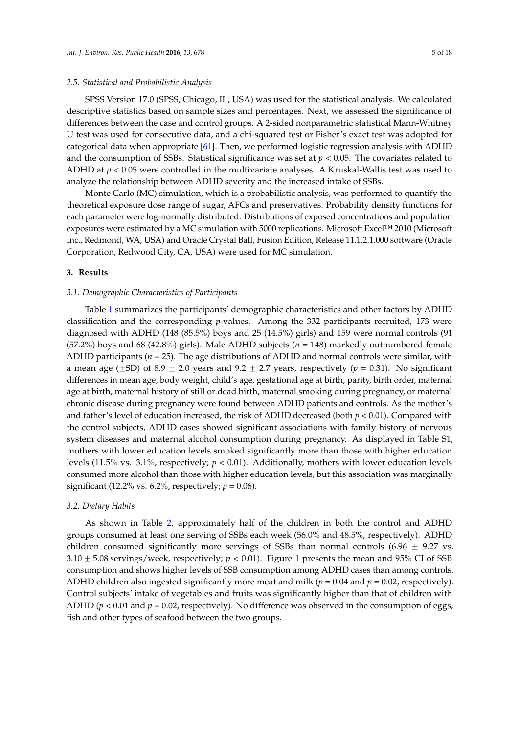#### *2.5. Statistical and Probabilistic Analysis*

SPSS Version 17.0 (SPSS, Chicago, IL, USA) was used for the statistical analysis. We calculated descriptive statistics based on sample sizes and percentages. Next, we assessed the significance of differences between the case and control groups. A 2-sided nonparametric statistical Mann-Whitney U test was used for consecutive data, and a chi-squared test or Fisher's exact test was adopted for categorical data when appropriate [\[61\]](#page-15-17). Then, we performed logistic regression analysis with ADHD and the consumption of SSBs. Statistical significance was set at  $p < 0.05$ . The covariates related to ADHD at *p* < 0.05 were controlled in the multivariate analyses. A Kruskal-Wallis test was used to analyze the relationship between ADHD severity and the increased intake of SSBs.

Monte Carlo (MC) simulation, which is a probabilistic analysis, was performed to quantify the theoretical exposure dose range of sugar, AFCs and preservatives. Probability density functions for each parameter were log-normally distributed. Distributions of exposed concentrations and population exposures were estimated by a MC simulation with 5000 replications. Microsoft Excel™ 2010 (Microsoft Inc., Redmond, WA, USA) and Oracle Crystal Ball, Fusion Edition, Release 11.1.2.1.000 software (Oracle Corporation, Redwood City, CA, USA) were used for MC simulation.

#### **3. Results**

## *3.1. Demographic Characteristics of Participants*

Table [1](#page-5-0) summarizes the participants' demographic characteristics and other factors by ADHD classification and the corresponding *p*-values. Among the 332 participants recruited, 173 were diagnosed with ADHD (148 (85.5%) boys and 25 (14.5%) girls) and 159 were normal controls (91 (57.2%) boys and 68 (42.8%) girls). Male ADHD subjects (*n* = 148) markedly outnumbered female ADHD participants (*n* = 25). The age distributions of ADHD and normal controls were similar, with a mean age ( $\pm$ SD) of 8.9  $\pm$  2.0 years and 9.2  $\pm$  2.7 years, respectively (*p* = 0.31). No significant differences in mean age, body weight, child's age, gestational age at birth, parity, birth order, maternal age at birth, maternal history of still or dead birth, maternal smoking during pregnancy, or maternal chronic disease during pregnancy were found between ADHD patients and controls. As the mother's and father's level of education increased, the risk of ADHD decreased (both *p* < 0.01). Compared with the control subjects, ADHD cases showed significant associations with family history of nervous system diseases and maternal alcohol consumption during pregnancy. As displayed in Table S1, mothers with lower education levels smoked significantly more than those with higher education levels (11.5% vs. 3.1%, respectively; *p* < 0.01). Additionally, mothers with lower education levels consumed more alcohol than those with higher education levels, but this association was marginally significant (12.2% vs. 6.2%, respectively;  $p = 0.06$ ).

#### *3.2. Dietary Habits*

As shown in Table [2,](#page-6-0) approximately half of the children in both the control and ADHD groups consumed at least one serving of SSBs each week (56.0% and 48.5%, respectively). ADHD children consumed significantly more servings of SSBs than normal controls  $(6.96 \pm 9.27 \text{ vs.})$  $3.10 \pm 5.08$  $3.10 \pm 5.08$  $3.10 \pm 5.08$  servings/week, respectively;  $p < 0.01$ ). Figure 1 presents the mean and 95% CI of SSB consumption and shows higher levels of SSB consumption among ADHD cases than among controls. ADHD children also ingested significantly more meat and milk ( $p = 0.04$  and  $p = 0.02$ , respectively). Control subjects' intake of vegetables and fruits was significantly higher than that of children with ADHD ( $p < 0.01$  and  $p = 0.02$ , respectively). No difference was observed in the consumption of eggs, fish and other types of seafood between the two groups.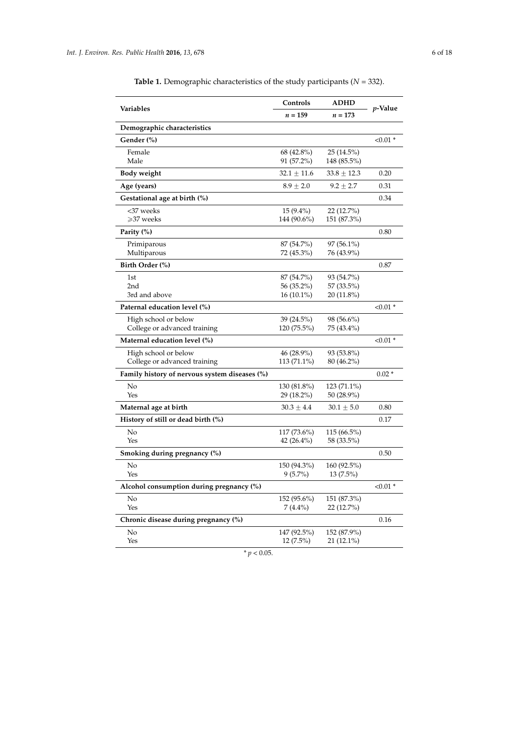<span id="page-5-0"></span>

|                                               | Controls        | <b>ADHD</b>     |            |
|-----------------------------------------------|-----------------|-----------------|------------|
| Variables                                     | $n = 159$       | $n = 173$       | $p$ -Value |
| Demographic characteristics                   |                 |                 |            |
| Gender (%)                                    |                 |                 | $< 0.01$ * |
| Female                                        | 68 (42.8%)      | $25(14.5\%)$    |            |
| Male                                          | 91 (57.2%)      | 148 (85.5%)     |            |
| Body weight                                   | $32.1 \pm 11.6$ | $33.8 \pm 12.3$ | 0.20       |
| Age (years)                                   | $8.9 \pm 2.0$   | $9.2 \pm 2.7$   | 0.31       |
| Gestational age at birth (%)                  |                 |                 | 0.34       |
| <37 weeks                                     | $15(9.4\%)$     | 22 (12.7%)      |            |
| ≥37 weeks                                     | 144 (90.6%)     | 151 (87.3%)     |            |
| Parity (%)                                    |                 |                 | 0.80       |
| Primiparous                                   | 87 (54.7%)      | 97 (56.1%)      |            |
| Multiparous                                   | 72 (45.3%)      | 76 (43.9%)      |            |
| Birth Order (%)                               |                 |                 | 0.87       |
| 1st                                           | 87 (54.7%)      | 93 (54.7%)      |            |
| 2nd                                           | 56 (35.2%)      | 57 (33.5%)      |            |
| 3rd and above                                 | $16(10.1\%)$    | $20(11.8\%)$    |            |
| Paternal education level (%)                  |                 |                 | $< 0.01$ * |
| High school or below                          | 39 (24.5%)      | 98 (56.6%)      |            |
| College or advanced training                  | 120 (75.5%)     | 75 (43.4%)      |            |
| Maternal education level (%)                  |                 |                 | ${<}0.01*$ |
| High school or below                          | 46 (28.9%)      | 93 (53.8%)      |            |
| College or advanced training                  | 113 (71.1%)     | $80(46.2\%)$    |            |
| Family history of nervous system diseases (%) |                 |                 | $0.02*$    |
| No                                            | 130 (81.8%)     | 123 (71.1%)     |            |
| Yes                                           | 29 (18.2%)      | 50 (28.9%)      |            |
| Maternal age at birth                         | $30.3 \pm 4.4$  | $30.1\pm5.0$    | 0.80       |
| History of still or dead birth (%)            |                 |                 | 0.17       |
| No                                            | 117 (73.6%)     | 115 (66.5%)     |            |
| Yes                                           | 42 $(26.4\%)$   | 58 (33.5%)      |            |
| Smoking during pregnancy (%)                  |                 |                 | 0.50       |
| No                                            | 150 (94.3%)     | 160 (92.5%)     |            |
| Yes                                           | $9(5.7\%)$      | $13(7.5\%)$     |            |
| Alcohol consumption during pregnancy (%)      |                 |                 | $< 0.01$ * |
| No                                            | 152 (95.6%)     | 151 (87.3%)     |            |
| Yes                                           | $7(4.4\%)$      | 22(12.7%)       |            |
| Chronic disease during pregnancy (%)          |                 |                 | 0.16       |
| No                                            | 147 (92.5%)     | 152 (87.9%)     |            |
| Yes                                           | $12(7.5\%)$     | $21(12.1\%)$    |            |

**Table 1.** Demographic characteristics of the study participants (*N* = 332).

*\* p* < 0.05.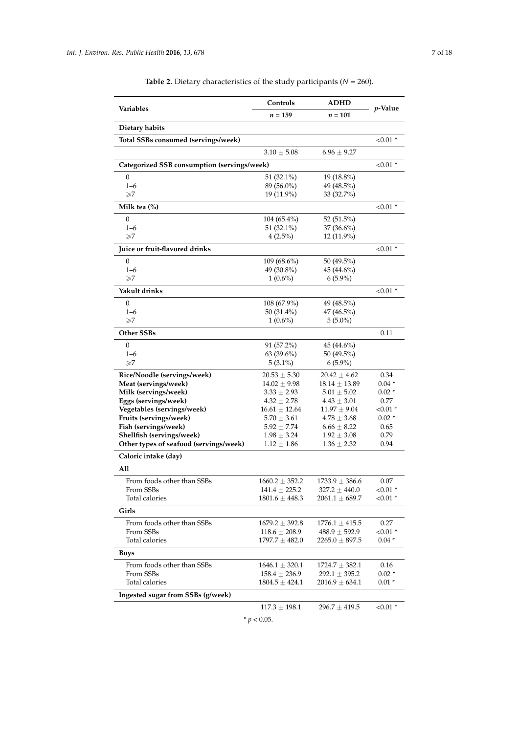<span id="page-6-0"></span>

| Variables                                   | Controls           | <b>ADHD</b>        | $p$ -Value |
|---------------------------------------------|--------------------|--------------------|------------|
|                                             | $n = 159$          | $n = 101$          |            |
| Dietary habits                              |                    |                    |            |
| Total SSBs consumed (servings/week)         |                    |                    | $< 0.01$ * |
|                                             | $3.10 \pm 5.08$    | $6.96 \pm 9.27$    |            |
| Categorized SSB consumption (servings/week) |                    |                    | $< 0.01$ * |
| 0                                           | 51 (32.1%)         | 19 (18.8%)         |            |
| $1 - 6$                                     | 89 (56.0%)         | 49 (48.5%)         |            |
| $\geqslant$ 7                               | 19 (11.9%)         | 33 (32.7%)         |            |
| Milk tea $\frac{6}{6}$                      |                    |                    | $< 0.01$ * |
| 0                                           | $104(65.4\%)$      | 52 (51.5%)         |            |
| $1 - 6$                                     | 51 (32.1%)         | 37 (36.6%)         |            |
| $\geqslant$                                 | $4(2.5\%)$         | 12 (11.9%)         |            |
| Juice or fruit-flavored drinks              |                    |                    | $< 0.01$ * |
| 0                                           | $109(68.6\%)$      | 50 (49.5%)         |            |
| $1 - 6$                                     | 49 (30.8%)         | 45 (44.6%)         |            |
| $\geqslant$                                 | $1(0.6\%)$         | $6(5.9\%)$         |            |
| Yakult drinks                               |                    |                    | $0.01*$    |
| 0                                           | 108 (67.9%)        | 49 (48.5%)         |            |
| $1 - 6$                                     | 50 (31.4%)         | 47 (46.5%)         |            |
| ≥7                                          | $1(0.6\%)$         | $5(5.0\%)$         |            |
| Other SSBs                                  |                    |                    | 0.11       |
| 0                                           | 91 (57.2%)         | 45 (44.6%)         |            |
| $1 - 6$                                     | 63 (39.6%)         | 50 (49.5%)         |            |
| ≥7                                          | $5(3.1\%)$         | $6(5.9\%)$         |            |
| Rice/Noodle (servings/week)                 | $20.53 \pm 5.30$   | $20.42 \pm 4.62$   | 0.34       |
| Meat (servings/week)                        | $14.02 \pm 9.98$   | $18.14 \pm 13.89$  | $0.04*$    |
| Milk (servings/week)                        | $3.33 \pm 2.93$    | $5.01 \pm 5.02$    | $0.02*$    |
| Eggs (servings/week)                        | $4.32 \pm 2.78$    | $4.43 \pm 3.01$    | 0.77       |
| Vegetables (servings/week)                  | $16.61 \pm 12.64$  | $11.97 \pm 9.04$   | $0.01*$    |
| Fruits (servings/week)                      | $5.70 \pm 3.61$    | $4.78 \pm 3.68$    | $0.02*$    |
| Fish (servings/week)                        | $5.92 \pm 7.74$    | $6.66 \pm 8.22$    | 0.65       |
| Shellfish (servings/week)                   | $1.98 \pm 3.24$    | $1.92 \pm 3.08$    | 0.79       |
| Other types of seafood (servings/week)      | $1.12 \pm 1.86$    | $1.36 \pm 2.32$    | 0.94       |
| Caloric intake (day)                        |                    |                    |            |
| All                                         |                    |                    |            |
| From foods other than SSBs                  | $1660.2 \pm 352.2$ | $1733.9\pm386.6$   | 0.07       |
| From SSBs                                   | $141.4 \pm 225.2$  | 327.2 $\pm$ 440.0  | ${<}0.01*$ |
| Total calories                              | $1801.6 \pm 448.3$ | $2061.1 \pm 689.7$ | $0.01*$    |
| Girls                                       |                    |                    |            |
| From foods other than SSBs                  | $1679.2 \pm 392.8$ | $1776.1 \pm 415.5$ | 0.27       |
| From SSBs                                   | $118.6 \pm 208.9$  | $488.9 \pm 592.9$  | $0.01*$    |
| Total calories                              | $1797.7\pm482.0$   | $2265.0 \pm 897.5$ | $0.04*$    |
| <b>Boys</b>                                 |                    |                    |            |
| From foods other than SSBs                  | $1646.1 \pm 320.1$ | $1724.7 \pm 382.1$ | 0.16       |
| From SSBs                                   | $158.4 \pm 236.9$  | 292.1 $\pm$ 395.2  | $0.02*$    |
| Total calories                              | $1804.5 \pm 424.1$ | $2016.9 \pm 634.1$ | $0.01*$    |
| Ingested sugar from SSBs (g/week)           |                    |                    |            |
|                                             | $117.3 \pm 198.1$  | 296.7 $\pm$ 419.5  | $0.01*$    |
|                                             |                    |                    |            |

**Table 2.** Dietary characteristics of the study participants ( $N = 260$ ).

*.*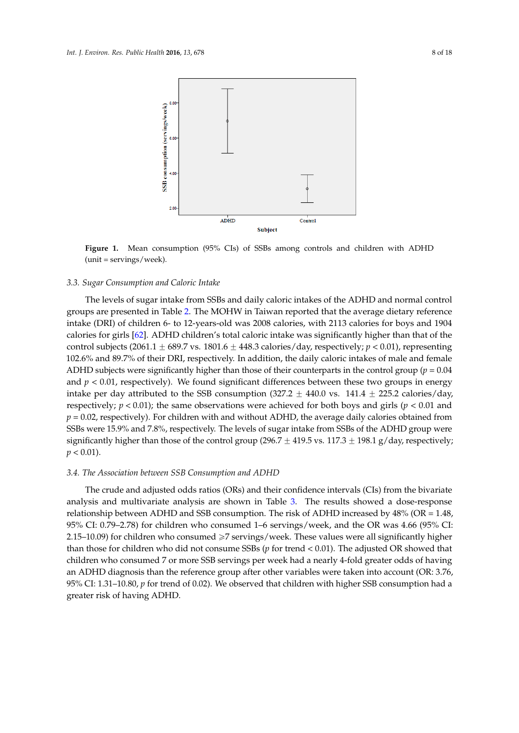<span id="page-7-0"></span>

**Figure 1.** Mean consumption (95% CIs) of SSBs among controls and children with ADHD servings/week). (unit = servings/week).

**Subject** 

## *3.3. Sugar Consumption and Caloric Intake 3.3. Sugar Consumption and Caloric Intake*

The levels of sugar intake from SSBs and daily caloric intakes of the ADHD and normal control The levels of sugar intake from SSBs and daily caloric intakes of the ADHD and normal control groups are presented in Tabl[e 2](#page-6-0). The MOHW in Taiwan reported that the average dietary reference groups are presented in Table 2. The MOHW in Taiwan reported that the average dietary reference intake (DRI) of children 6- to 12-years-old was 2008 calories, with 2113 calories for boys and 1904 intake (DRI) of children 6- to 12-years-old was 2008 calories, with 2113 calories for boys and 1904 calories for girls [\[62](#page-15-18)]. ADHD children's total caloric intake was significantly higher than that of the calories for girls [62]. ADHD children's total caloric intake was significantly higher than that of the control subjects (2061.1  $\pm$  689.7 vs. 1801.6  $\pm$  448.3 calories/day, respectively;  $p < 0.01$ ), representing 102.6% and 89.7% of their DRI, respectively. In addition, the daily caloric intakes of male and female 102.6% and 89.7% of their DRI, respectively. In addition, the daily caloric intakes of male and female ADHD subjects were significantly higher than those of their counterparts in the control group ( $p = 0.04$ ) and  $p < 0.01$ , respectively). We found significant differences between these two groups in energy intake per day attributed to the SSB consumption  $(327.2 \pm 440.0 \text{ vs. } 141.4 \pm 225.2 \text{ calories/day}$ , respectively;  $p < 0.01$ ); the same observations were achieved for both boys and girls ( $p < 0.01$  and  $p = 0.02$ , respectively). For children with and without ADHD, the average daily calories obtained from SSBs were 15.9% and 7.8%, respectively. The levels of sugar intake from SSBs of the ADHD group SSBs were 15.9% and 7.8%, respectively. The levels of sugar intake from SSBs of the ADHD group were significantly higher than those of the control group (296.7  $\pm$  419.5 vs. 117.3  $\pm$  198.1 g/day, respectively;  $p < 0.01$ ).

## *3.4. The Association between SSB Consumption and ADHD 3.4. The Association between SSB Consumption and ADHD*

The crude and adjusted odds ratios (ORs) and their confidence intervals (CIs) from the bivariate The crude and adjusted odds ratios (ORs) and their confidence intervals (CIs) from the bivariate analysis and multivariate analysis are shown in Tabl[e 3](#page-8-0). The results showed a dose-response analysis and multivariate analysis are shown in Table 3. The results showed a dose-response relationship between ADHD and SSB consumption. The risk of ADHD increased by 48% (OR = 1.48, relationship between ADHD and SSB consumption. The risk of ADHD increased by 48% (OR = 1.48, 95% CI: 0.79–2.78) for children who consumed 1–6 servings/week, and the OR was 4.66 (95% CI: 95% CI: 0.79–2.78) for children who consumed 1–6 servings/week, and the OR was 4.66 (95% CI: 2.15–10.09) for children who consumed ≥7 servings/week. These values were all significantly higher 2.15–10.09) for children who consumed ě7 servings/week. These values were all significantly higher than those for children who did not consume SSBs ( $p$  for trend  $< 0.01$ ). The adjusted OR showed that children who consumed 7 or more SSB servings per week had a nearly 4-fold greater odds of having children who consumed 7 or more SSB servings per week had a nearly 4-fold greater odds of having an ADHD diagnosis than the reference group after other variables were taken into account (OR: 3.76, an ADHD diagnosis than the reference group after other variables were taken into account (OR: 3.76, 95% CI: 1.31–10.80, *p* for trend of 0.02). We observed that children with higher SSB consumption had 95% CI: 1.31–10.80, *p* for trend of 0.02). We observed that children with higher SSB consumption had a a greater risk of having ADHD. greater risk of having ADHD.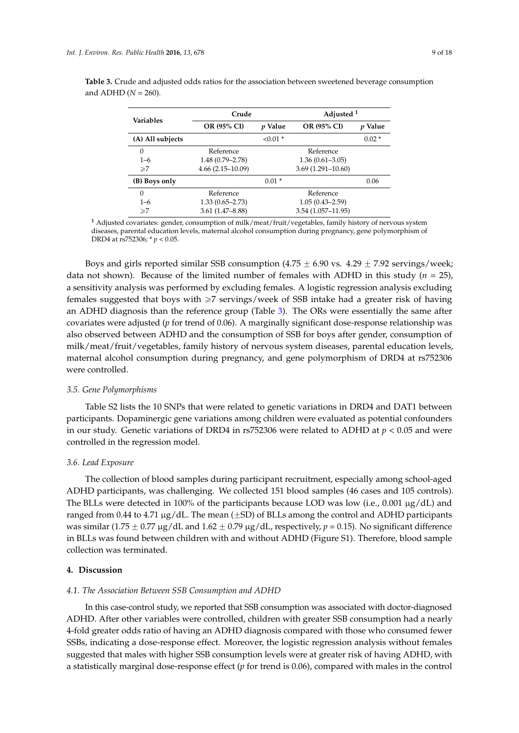| <b>Variables</b> | Crude               |                | Adjusted <sup>1</sup> |         |
|------------------|---------------------|----------------|-----------------------|---------|
|                  | OR (95% CI)         | <i>v</i> Value | OR (95% CI)           | p Value |
| (A) All subjects |                     | $< 0.01$ *     |                       | $0.02*$ |
| 0                | Reference           |                | Reference             |         |
| $1 - 6$          | $1.48(0.79 - 2.78)$ |                | $1.36(0.61 - 3.05)$   |         |
| $\geq 7$         | $4.66(2.15-10.09)$  |                | $3.69(1.291 - 10.60)$ |         |
| (B) Boys only    |                     | $0.01*$        |                       | 0.06    |
| 0                | Reference           |                | Reference             |         |
| $1 - 6$          | $1.33(0.65 - 2.73)$ |                | $1.05(0.43 - 2.59)$   |         |
| $\geqslant$ 7    | $3.61(1.47 - 8.88)$ |                | $3.54(1.057 - 11.95)$ |         |

<span id="page-8-0"></span>**Table 3.** Crude and adjusted odds ratios for the association between sweetened beverage consumption and ADHD (*N* = 260).

**<sup>1</sup>** Adjusted covariates: gender, consumption of milk/meat/fruit/vegetables, family history of nervous system diseases, parental education levels, maternal alcohol consumption during pregnancy, gene polymorphism of DRD4 at rs752306; \* *p* < 0.05.

Boys and girls reported similar SSB consumption  $(4.75 \pm 6.90 \text{ vs. } 4.29 \pm 7.92 \text{ servings/week};$ data not shown). Because of the limited number of females with ADHD in this study (*n* = 25), a sensitivity analysis was performed by excluding females. A logistic regression analysis excluding females suggested that boys with  $\geq 7$  servings/week of SSB intake had a greater risk of having an ADHD diagnosis than the reference group (Table [3\)](#page-8-0). The ORs were essentially the same after covariates were adjusted (*p* for trend of 0.06). A marginally significant dose-response relationship was also observed between ADHD and the consumption of SSB for boys after gender, consumption of milk/meat/fruit/vegetables, family history of nervous system diseases, parental education levels, maternal alcohol consumption during pregnancy, and gene polymorphism of DRD4 at rs752306 were controlled.

## *3.5. Gene Polymorphisms*

Table S2 lists the 10 SNPs that were related to genetic variations in DRD4 and DAT1 between participants. Dopaminergic gene variations among children were evaluated as potential confounders in our study. Genetic variations of DRD4 in rs752306 were related to ADHD at *p* < 0.05 and were controlled in the regression model.

#### *3.6. Lead Exposure*

The collection of blood samples during participant recruitment, especially among school-aged ADHD participants, was challenging. We collected 151 blood samples (46 cases and 105 controls). The BLLs were detected in 100% of the participants because LOD was low (i.e., 0.001  $\mu$ g/dL) and ranged from 0.44 to 4.71  $\mu$ g/dL. The mean ( $\pm$ SD) of BLLs among the control and ADHD participants was similar (1.75  $\pm$  0.77  $\mu$ g/dL and 1.62  $\pm$  0.79  $\mu$ g/dL, respectively, *p* = 0.15). No significant difference in BLLs was found between children with and without ADHD (Figure S1). Therefore, blood sample collection was terminated.

## **4. Discussion**

#### *4.1. The Association Between SSB Consumption and ADHD*

In this case-control study, we reported that SSB consumption was associated with doctor-diagnosed ADHD. After other variables were controlled, children with greater SSB consumption had a nearly 4-fold greater odds ratio of having an ADHD diagnosis compared with those who consumed fewer SSBs, indicating a dose-response effect. Moreover, the logistic regression analysis without females suggested that males with higher SSB consumption levels were at greater risk of having ADHD, with a statistically marginal dose-response effect (*p* for trend is 0.06), compared with males in the control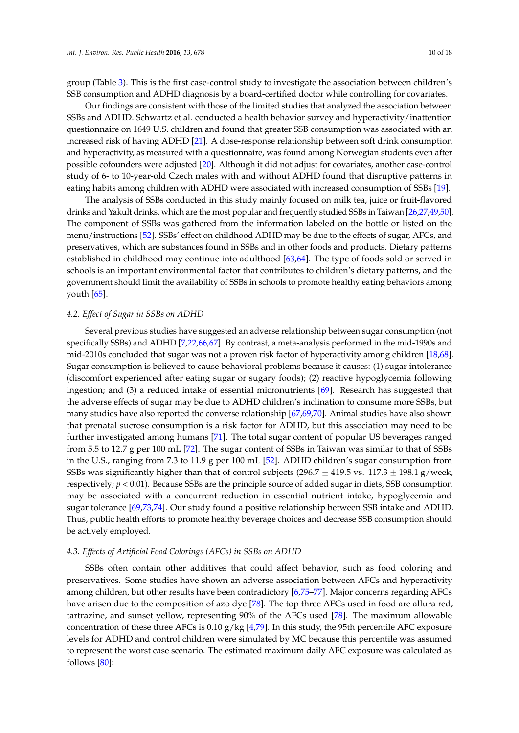group (Table [3\)](#page-8-0). This is the first case-control study to investigate the association between children's SSB consumption and ADHD diagnosis by a board-certified doctor while controlling for covariates.

Our findings are consistent with those of the limited studies that analyzed the association between SSBs and ADHD. Schwartz et al. conducted a health behavior survey and hyperactivity/inattention questionnaire on 1649 U.S. children and found that greater SSB consumption was associated with an increased risk of having ADHD [\[21\]](#page-13-6). A dose-response relationship between soft drink consumption and hyperactivity, as measured with a questionnaire, was found among Norwegian students even after possible cofounders were adjusted [\[20\]](#page-13-7). Although it did not adjust for covariates, another case-control study of 6- to 10-year-old Czech males with and without ADHD found that disruptive patterns in eating habits among children with ADHD were associated with increased consumption of SSBs [\[19\]](#page-13-9).

The analysis of SSBs conducted in this study mainly focused on milk tea, juice or fruit-flavored drinks and Yakult drinks, which are the most popular and frequently studied SSBs in Taiwan [\[26,](#page-14-2)[27,](#page-14-3)[49](#page-15-6)[,50\]](#page-15-7). The component of SSBs was gathered from the information labeled on the bottle or listed on the menu/instructions [\[52\]](#page-15-9). SSBs' effect on childhood ADHD may be due to the effects of sugar, AFCs, and preservatives, which are substances found in SSBs and in other foods and products. Dietary patterns established in childhood may continue into adulthood [\[63,](#page-16-0)[64\]](#page-16-1). The type of foods sold or served in schools is an important environmental factor that contributes to children's dietary patterns, and the government should limit the availability of SSBs in schools to promote healthy eating behaviors among youth [\[65\]](#page-16-2).

#### *4.2. Effect of Sugar in SSBs on ADHD*

Several previous studies have suggested an adverse relationship between sugar consumption (not specifically SSBs) and ADHD [\[7](#page-13-2)[,22](#page-13-8)[,66,](#page-16-3)[67\]](#page-16-4). By contrast, a meta-analysis performed in the mid-1990s and mid-2010s concluded that sugar was not a proven risk factor of hyperactivity among children [\[18,](#page-13-12)[68\]](#page-16-5). Sugar consumption is believed to cause behavioral problems because it causes: (1) sugar intolerance (discomfort experienced after eating sugar or sugary foods); (2) reactive hypoglycemia following ingestion; and (3) a reduced intake of essential micronutrients [\[69\]](#page-16-6). Research has suggested that the adverse effects of sugar may be due to ADHD children's inclination to consume more SSBs, but many studies have also reported the converse relationship [\[67](#page-16-4)[,69](#page-16-6)[,70\]](#page-16-7). Animal studies have also shown that prenatal sucrose consumption is a risk factor for ADHD, but this association may need to be further investigated among humans [\[71\]](#page-16-8). The total sugar content of popular US beverages ranged from 5.5 to 12.7 g per 100 mL [\[72\]](#page-16-9). The sugar content of SSBs in Taiwan was similar to that of SSBs in the U.S., ranging from 7.3 to 11.9 g per 100 mL [\[52\]](#page-15-9). ADHD children's sugar consumption from SSBs was significantly higher than that of control subjects (296.7  $\pm$  419.5 vs. 117.3  $\pm$  198.1 g/week, respectively; *p* < 0.01). Because SSBs are the principle source of added sugar in diets, SSB consumption may be associated with a concurrent reduction in essential nutrient intake, hypoglycemia and sugar tolerance [\[69,](#page-16-6)[73,](#page-16-10)[74\]](#page-16-11). Our study found a positive relationship between SSB intake and ADHD. Thus, public health efforts to promote healthy beverage choices and decrease SSB consumption should be actively employed.

#### *4.3. Effects of Artificial Food Colorings (AFCs) in SSBs on ADHD*

SSBs often contain other additives that could affect behavior, such as food coloring and preservatives. Some studies have shown an adverse association between AFCs and hyperactivity among children, but other results have been contradictory [\[6](#page-13-13)[,75–](#page-16-12)[77\]](#page-16-13). Major concerns regarding AFCs have arisen due to the composition of azo dye [\[78\]](#page-16-14). The top three AFCs used in food are allura red, tartrazine, and sunset yellow, representing 90% of the AFCs used [\[78\]](#page-16-14). The maximum allowable concentration of these three AFCs is  $0.10 g/kg$  [\[4,](#page-13-1)[79\]](#page-16-15). In this study, the 95th percentile AFC exposure levels for ADHD and control children were simulated by MC because this percentile was assumed to represent the worst case scenario. The estimated maximum daily AFC exposure was calculated as follows [\[80\]](#page-16-16):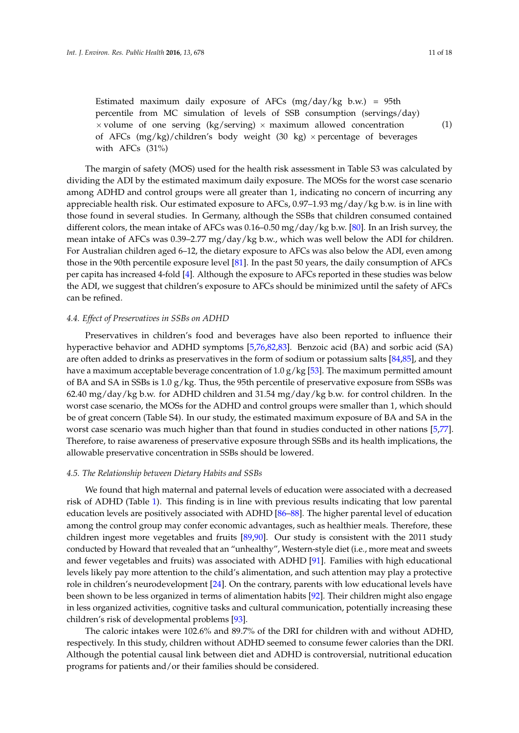(1)

Estimated maximum daily exposure of AFCs  $(mg/day/kg$  b.w.) = 95th percentile from MC simulation of levels of SSB consumption (servings/day)  $\times$  volume of one serving (kg/serving)  $\times$  maximum allowed concentration of AFCs  $(mg/kg)/$ children's body weight (30 kg)  $\times$  percentage of beverages with AFCs (31%)

The margin of safety (MOS) used for the health risk assessment in Table S3 was calculated by dividing the ADI by the estimated maximum daily exposure. The MOSs for the worst case scenario among ADHD and control groups were all greater than 1, indicating no concern of incurring any appreciable health risk. Our estimated exposure to AFCs, 0.97–1.93 mg/day/kg b.w. is in line with those found in several studies. In Germany, although the SSBs that children consumed contained different colors, the mean intake of AFCs was 0.16–0.50 mg/day/kg b.w. [\[80\]](#page-16-16). In an Irish survey, the mean intake of AFCs was 0.39–2.77 mg/day/kg b.w., which was well below the ADI for children. For Australian children aged 6–12, the dietary exposure to AFCs was also below the ADI, even among those in the 90th percentile exposure level [\[81\]](#page-16-17). In the past 50 years, the daily consumption of AFCs per capita has increased 4-fold [\[4\]](#page-13-1). Although the exposure to AFCs reported in these studies was below the ADI, we suggest that children's exposure to AFCs should be minimized until the safety of AFCs can be refined.

## *4.4. Effect of Preservatives in SSBs on ADHD*

Preservatives in children's food and beverages have also been reported to influence their hyperactive behavior and ADHD symptoms [\[5,](#page-13-14)[76,](#page-16-18)[82,](#page-16-19)[83\]](#page-16-20). Benzoic acid (BA) and sorbic acid (SA) are often added to drinks as preservatives in the form of sodium or potassium salts [\[84](#page-17-0)[,85\]](#page-17-1), and they have a maximum acceptable beverage concentration of 1.0  $g/kg$  [\[53\]](#page-15-10). The maximum permitted amount of BA and SA in SSBs is  $1.0 \text{ g/kg}$ . Thus, the 95th percentile of preservative exposure from SSBs was 62.40 mg/day/kg b.w. for ADHD children and 31.54 mg/day/kg b.w. for control children. In the worst case scenario, the MOSs for the ADHD and control groups were smaller than 1, which should be of great concern (Table S4). In our study, the estimated maximum exposure of BA and SA in the worst case scenario was much higher than that found in studies conducted in other nations [\[5,](#page-13-14)[77\]](#page-16-13). Therefore, to raise awareness of preservative exposure through SSBs and its health implications, the allowable preservative concentration in SSBs should be lowered.

#### *4.5. The Relationship between Dietary Habits and SSBs*

We found that high maternal and paternal levels of education were associated with a decreased risk of ADHD (Table [1\)](#page-5-0). This finding is in line with previous results indicating that low parental education levels are positively associated with ADHD [\[86](#page-17-2)[–88\]](#page-17-3). The higher parental level of education among the control group may confer economic advantages, such as healthier meals. Therefore, these children ingest more vegetables and fruits [\[89](#page-17-4)[,90\]](#page-17-5). Our study is consistent with the 2011 study conducted by Howard that revealed that an "unhealthy", Western-style diet (i.e., more meat and sweets and fewer vegetables and fruits) was associated with ADHD [\[91\]](#page-17-6). Families with high educational levels likely pay more attention to the child's alimentation, and such attention may play a protective role in children's neurodevelopment [\[24\]](#page-14-17). On the contrary, parents with low educational levels have been shown to be less organized in terms of alimentation habits [\[92\]](#page-17-7). Their children might also engage in less organized activities, cognitive tasks and cultural communication, potentially increasing these children's risk of developmental problems [\[93\]](#page-17-8).

The caloric intakes were 102.6% and 89.7% of the DRI for children with and without ADHD, respectively. In this study, children without ADHD seemed to consume fewer calories than the DRI. Although the potential causal link between diet and ADHD is controversial, nutritional education programs for patients and/or their families should be considered.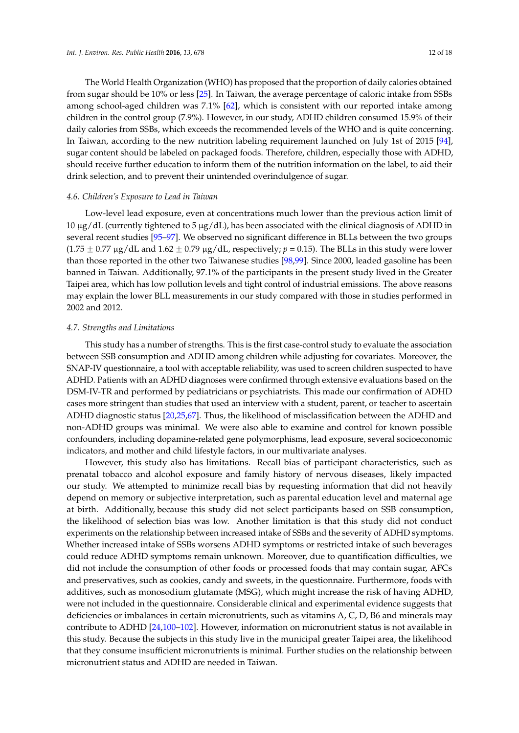The World Health Organization (WHO) has proposed that the proportion of daily calories obtained from sugar should be 10% or less [\[25\]](#page-14-1). In Taiwan, the average percentage of caloric intake from SSBs among school-aged children was 7.1% [\[62\]](#page-15-18), which is consistent with our reported intake among children in the control group (7.9%). However, in our study, ADHD children consumed 15.9% of their daily calories from SSBs, which exceeds the recommended levels of the WHO and is quite concerning. In Taiwan, according to the new nutrition labeling requirement launched on July 1st of 2015 [\[94\]](#page-17-9), sugar content should be labeled on packaged foods. Therefore, children, especially those with ADHD, should receive further education to inform them of the nutrition information on the label, to aid their drink selection, and to prevent their unintended overindulgence of sugar.

#### *4.6. Children's Exposure to Lead in Taiwan*

Low-level lead exposure, even at concentrations much lower than the previous action limit of 10  $\mu$ g/dL (currently tightened to 5  $\mu$ g/dL), has been associated with the clinical diagnosis of ADHD in several recent studies [\[95](#page-17-10)[–97\]](#page-17-11). We observed no significant difference in BLLs between the two groups  $(1.75 \pm 0.77 \,\mu g/d)$ L and  $1.62 \pm 0.79 \,\mu g/d$ L, respectively;  $p = 0.15$ ). The BLLs in this study were lower than those reported in the other two Taiwanese studies [\[98](#page-17-12)[,99\]](#page-17-13). Since 2000, leaded gasoline has been banned in Taiwan. Additionally, 97.1% of the participants in the present study lived in the Greater Taipei area, which has low pollution levels and tight control of industrial emissions. The above reasons may explain the lower BLL measurements in our study compared with those in studies performed in 2002 and 2012.

### *4.7. Strengths and Limitations*

This study has a number of strengths. This is the first case-control study to evaluate the association between SSB consumption and ADHD among children while adjusting for covariates. Moreover, the SNAP-IV questionnaire, a tool with acceptable reliability, was used to screen children suspected to have ADHD. Patients with an ADHD diagnoses were confirmed through extensive evaluations based on the DSM-IV-TR and performed by pediatricians or psychiatrists. This made our confirmation of ADHD cases more stringent than studies that used an interview with a student, parent, or teacher to ascertain ADHD diagnostic status [\[20](#page-13-7)[,25,](#page-14-1)[67\]](#page-16-4). Thus, the likelihood of misclassification between the ADHD and non-ADHD groups was minimal. We were also able to examine and control for known possible confounders, including dopamine-related gene polymorphisms, lead exposure, several socioeconomic indicators, and mother and child lifestyle factors, in our multivariate analyses.

However, this study also has limitations. Recall bias of participant characteristics, such as prenatal tobacco and alcohol exposure and family history of nervous diseases, likely impacted our study. We attempted to minimize recall bias by requesting information that did not heavily depend on memory or subjective interpretation, such as parental education level and maternal age at birth. Additionally, because this study did not select participants based on SSB consumption, the likelihood of selection bias was low. Another limitation is that this study did not conduct experiments on the relationship between increased intake of SSBs and the severity of ADHD symptoms. Whether increased intake of SSBs worsens ADHD symptoms or restricted intake of such beverages could reduce ADHD symptoms remain unknown. Moreover, due to quantification difficulties, we did not include the consumption of other foods or processed foods that may contain sugar, AFCs and preservatives, such as cookies, candy and sweets, in the questionnaire. Furthermore, foods with additives, such as monosodium glutamate (MSG), which might increase the risk of having ADHD, were not included in the questionnaire. Considerable clinical and experimental evidence suggests that deficiencies or imbalances in certain micronutrients, such as vitamins A, C, D, B6 and minerals may contribute to ADHD [\[24](#page-14-17)[,100–](#page-17-14)[102\]](#page-17-15). However, information on micronutrient status is not available in this study. Because the subjects in this study live in the municipal greater Taipei area, the likelihood that they consume insufficient micronutrients is minimal. Further studies on the relationship between micronutrient status and ADHD are needed in Taiwan.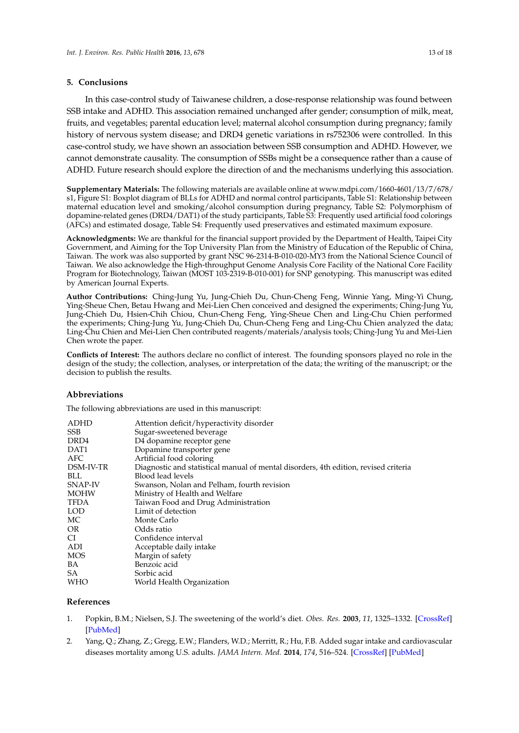## **5. Conclusions**

In this case-control study of Taiwanese children, a dose-response relationship was found between SSB intake and ADHD. This association remained unchanged after gender; consumption of milk, meat, fruits, and vegetables; parental education level; maternal alcohol consumption during pregnancy; family history of nervous system disease; and DRD4 genetic variations in rs752306 were controlled. In this case-control study, we have shown an association between SSB consumption and ADHD. However, we cannot demonstrate causality. The consumption of SSBs might be a consequence rather than a cause of ADHD. Future research should explore the direction of and the mechanisms underlying this association.

**Supplementary Materials:** The following materials are available online at www.mdpi.com/1660-4601/13/7/678/ s1, Figure S1: Boxplot diagram of BLLs for ADHD and normal control participants, Table S1: Relationship between maternal education level and smoking/alcohol consumption during pregnancy, Table S2: Polymorphism of dopamine-related genes (DRD4/DAT1) of the study participants, Table S3: Frequently used artificial food colorings (AFCs) and estimated dosage, Table S4: Frequently used preservatives and estimated maximum exposure.

**Acknowledgments:** We are thankful for the financial support provided by the Department of Health, Taipei City Government, and Aiming for the Top University Plan from the Ministry of Education of the Republic of China, Taiwan. The work was also supported by grant NSC 96-2314-B-010-020-MY3 from the National Science Council of Taiwan. We also acknowledge the High-throughput Genome Analysis Core Facility of the National Core Facility Program for Biotechnology, Taiwan (MOST 103-2319-B-010-001) for SNP genotyping. This manuscript was edited by American Journal Experts.

**Author Contributions:** Ching-Jung Yu, Jung-Chieh Du, Chun-Cheng Feng, Winnie Yang, Ming-Yi Chung, Ying-Sheue Chen, Betau Hwang and Mei-Lien Chen conceived and designed the experiments; Ching-Jung Yu, Jung-Chieh Du, Hsien-Chih Chiou, Chun-Cheng Feng, Ying-Sheue Chen and Ling-Chu Chien performed the experiments; Ching-Jung Yu, Jung-Chieh Du, Chun-Cheng Feng and Ling-Chu Chien analyzed the data; Ling-Chu Chien and Mei-Lien Chen contributed reagents/materials/analysis tools; Ching-Jung Yu and Mei-Lien Chen wrote the paper.

**Conflicts of Interest:** The authors declare no conflict of interest. The founding sponsors played no role in the design of the study; the collection, analyses, or interpretation of the data; the writing of the manuscript; or the decision to publish the results.

## **Abbreviations**

The following abbreviations are used in this manuscript:

| ADHD      | Attention deficit/hyperactivity disorder                                             |
|-----------|--------------------------------------------------------------------------------------|
| SSB       | Sugar-sweetened beverage                                                             |
| DRD4      | D4 dopamine receptor gene                                                            |
| DAT1      | Dopamine transporter gene                                                            |
| AFC.      | Artificial food coloring                                                             |
| DSM-IV-TR | Diagnostic and statistical manual of mental disorders, 4th edition, revised criteria |
| BLL.      | Blood lead levels                                                                    |
| SNAP-IV   | Swanson, Nolan and Pelham, fourth revision                                           |
| MOHW      | Ministry of Health and Welfare                                                       |
| TFDA      | Taiwan Food and Drug Administration                                                  |
| LOD       | Limit of detection                                                                   |
| МC        | Monte Carlo                                                                          |
| OR        | Odds ratio                                                                           |
| CI        | Confidence interval                                                                  |
| ADI       | Acceptable daily intake                                                              |
| MOS       | Margin of safety                                                                     |
| BA        | Benzoic acid                                                                         |
| SА        | Sorbic acid                                                                          |
| WHO       | World Health Organization                                                            |
|           |                                                                                      |

## **References**

- <span id="page-12-0"></span>1. Popkin, B.M.; Nielsen, S.J. The sweetening of the world's diet. *Obes. Res.* **2003**, *11*, 1325–1332. [\[CrossRef\]](http://dx.doi.org/10.1038/oby.2003.179) [\[PubMed\]](http://www.ncbi.nlm.nih.gov/pubmed/14627752)
- <span id="page-12-1"></span>2. Yang, Q.; Zhang, Z.; Gregg, E.W.; Flanders, W.D.; Merritt, R.; Hu, F.B. Added sugar intake and cardiovascular diseases mortality among U.S. adults. *JAMA Intern. Med.* **2014**, *174*, 516–524. [\[CrossRef\]](http://dx.doi.org/10.1001/jamainternmed.2013.13563) [\[PubMed\]](http://www.ncbi.nlm.nih.gov/pubmed/24493081)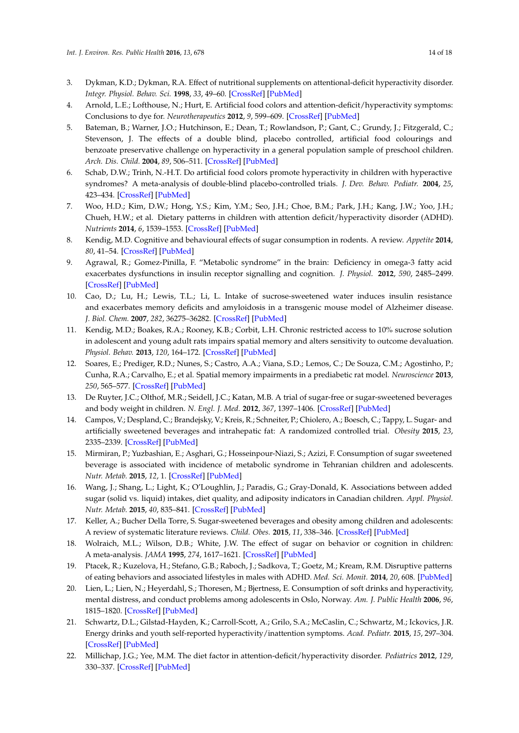- <span id="page-13-0"></span>3. Dykman, K.D.; Dykman, R.A. Effect of nutritional supplements on attentional-deficit hyperactivity disorder. *Integr. Physiol. Behav. Sci.* **1998**, *33*, 49–60. [\[CrossRef\]](http://dx.doi.org/10.1007/BF02688675) [\[PubMed\]](http://www.ncbi.nlm.nih.gov/pubmed/9594355)
- <span id="page-13-1"></span>4. Arnold, L.E.; Lofthouse, N.; Hurt, E. Artificial food colors and attention-deficit/hyperactivity symptoms: Conclusions to dye for. *Neurotherapeutics* **2012**, *9*, 599–609. [\[CrossRef\]](http://dx.doi.org/10.1007/s13311-012-0133-x) [\[PubMed\]](http://www.ncbi.nlm.nih.gov/pubmed/22864801)
- <span id="page-13-14"></span>5. Bateman, B.; Warner, J.O.; Hutchinson, E.; Dean, T.; Rowlandson, P.; Gant, C.; Grundy, J.; Fitzgerald, C.; Stevenson, J. The effects of a double blind, placebo controlled, artificial food colourings and benzoate preservative challenge on hyperactivity in a general population sample of preschool children. *Arch. Dis. Child.* **2004**, *89*, 506–511. [\[CrossRef\]](http://dx.doi.org/10.1136/adc.2003.031435) [\[PubMed\]](http://www.ncbi.nlm.nih.gov/pubmed/15155391)
- <span id="page-13-13"></span>6. Schab, D.W.; Trinh, N.-H.T. Do artificial food colors promote hyperactivity in children with hyperactive syndromes? A meta-analysis of double-blind placebo-controlled trials. *J. Dev. Behav. Pediatr.* **2004**, *25*, 423–434. [\[CrossRef\]](http://dx.doi.org/10.1097/00004703-200412000-00007) [\[PubMed\]](http://www.ncbi.nlm.nih.gov/pubmed/15613992)
- <span id="page-13-2"></span>7. Woo, H.D.; Kim, D.W.; Hong, Y.S.; Kim, Y.M.; Seo, J.H.; Choe, B.M.; Park, J.H.; Kang, J.W.; Yoo, J.H.; Chueh, H.W.; et al. Dietary patterns in children with attention deficit/hyperactivity disorder (ADHD). *Nutrients* **2014**, *6*, 1539–1553. [\[CrossRef\]](http://dx.doi.org/10.3390/nu6041539) [\[PubMed\]](http://www.ncbi.nlm.nih.gov/pubmed/24736898)
- <span id="page-13-3"></span>8. Kendig, M.D. Cognitive and behavioural effects of sugar consumption in rodents. A review. *Appetite* **2014**, *80*, 41–54. [\[CrossRef\]](http://dx.doi.org/10.1016/j.appet.2014.04.028) [\[PubMed\]](http://www.ncbi.nlm.nih.gov/pubmed/24816323)
- <span id="page-13-10"></span>9. Agrawal, R.; Gomez-Pinilla, F. "Metabolic syndrome" in the brain: Deficiency in omega-3 fatty acid exacerbates dysfunctions in insulin receptor signalling and cognition. *J. Physiol.* **2012**, *590*, 2485–2499. [\[CrossRef\]](http://dx.doi.org/10.1113/jphysiol.2012.230078) [\[PubMed\]](http://www.ncbi.nlm.nih.gov/pubmed/22473784)
- 10. Cao, D.; Lu, H.; Lewis, T.L.; Li, L. Intake of sucrose-sweetened water induces insulin resistance and exacerbates memory deficits and amyloidosis in a transgenic mouse model of Alzheimer disease. *J. Biol. Chem.* **2007**, *282*, 36275–36282. [\[CrossRef\]](http://dx.doi.org/10.1074/jbc.M703561200) [\[PubMed\]](http://www.ncbi.nlm.nih.gov/pubmed/17942401)
- 11. Kendig, M.D.; Boakes, R.A.; Rooney, K.B.; Corbit, L.H. Chronic restricted access to 10% sucrose solution in adolescent and young adult rats impairs spatial memory and alters sensitivity to outcome devaluation. *Physiol. Behav.* **2013**, *120*, 164–172. [\[CrossRef\]](http://dx.doi.org/10.1016/j.physbeh.2013.08.012) [\[PubMed\]](http://www.ncbi.nlm.nih.gov/pubmed/23954407)
- <span id="page-13-4"></span>12. Soares, E.; Prediger, R.D.; Nunes, S.; Castro, A.A.; Viana, S.D.; Lemos, C.; De Souza, C.M.; Agostinho, P.; Cunha, R.A.; Carvalho, E.; et al. Spatial memory impairments in a prediabetic rat model. *Neuroscience* **2013**, *250*, 565–577. [\[CrossRef\]](http://dx.doi.org/10.1016/j.neuroscience.2013.07.055) [\[PubMed\]](http://www.ncbi.nlm.nih.gov/pubmed/23912035)
- <span id="page-13-5"></span>13. De Ruyter, J.C.; Olthof, M.R.; Seidell, J.C.; Katan, M.B. A trial of sugar-free or sugar-sweetened beverages and body weight in children. *N. Engl. J. Med.* **2012**, *367*, 1397–1406. [\[CrossRef\]](http://dx.doi.org/10.1056/NEJMoa1203034) [\[PubMed\]](http://www.ncbi.nlm.nih.gov/pubmed/22998340)
- 14. Campos, V.; Despland, C.; Brandejsky, V.; Kreis, R.; Schneiter, P.; Chiolero, A.; Boesch, C.; Tappy, L. Sugar- and artificially sweetened beverages and intrahepatic fat: A randomized controlled trial. *Obesity* **2015**, *23*, 2335–2339. [\[CrossRef\]](http://dx.doi.org/10.1002/oby.21310) [\[PubMed\]](http://www.ncbi.nlm.nih.gov/pubmed/26727115)
- <span id="page-13-11"></span>15. Mirmiran, P.; Yuzbashian, E.; Asghari, G.; Hosseinpour-Niazi, S.; Azizi, F. Consumption of sugar sweetened beverage is associated with incidence of metabolic syndrome in Tehranian children and adolescents. *Nutr. Metab.* **2015**, *12*, 1. [\[CrossRef\]](http://dx.doi.org/10.1186/s12986-015-0021-6) [\[PubMed\]](http://www.ncbi.nlm.nih.gov/pubmed/26225136)
- 16. Wang, J.; Shang, L.; Light, K.; O'Loughlin, J.; Paradis, G.; Gray-Donald, K. Associations between added sugar (solid vs. liquid) intakes, diet quality, and adiposity indicators in Canadian children. *Appl. Physiol. Nutr. Metab.* **2015**, *40*, 835–841. [\[CrossRef\]](http://dx.doi.org/10.1139/apnm-2014-0447) [\[PubMed\]](http://www.ncbi.nlm.nih.gov/pubmed/26244601)
- 17. Keller, A.; Bucher Della Torre, S. Sugar-sweetened beverages and obesity among children and adolescents: A review of systematic literature reviews. *Child. Obes.* **2015**, *11*, 338–346. [\[CrossRef\]](http://dx.doi.org/10.1089/chi.2014.0117) [\[PubMed\]](http://www.ncbi.nlm.nih.gov/pubmed/26258560)
- <span id="page-13-12"></span>18. Wolraich, M.L.; Wilson, D.B.; White, J.W. The effect of sugar on behavior or cognition in children: A meta-analysis. *JAMA* **1995**, *274*, 1617–1621. [\[CrossRef\]](http://dx.doi.org/10.1001/jama.1995.03530200053037) [\[PubMed\]](http://www.ncbi.nlm.nih.gov/pubmed/7474248)
- <span id="page-13-9"></span>19. Ptacek, R.; Kuzelova, H.; Stefano, G.B.; Raboch, J.; Sadkova, T.; Goetz, M.; Kream, R.M. Disruptive patterns of eating behaviors and associated lifestyles in males with ADHD. *Med. Sci. Monit.* **2014**, *20*, 608. [\[PubMed\]](http://www.ncbi.nlm.nih.gov/pubmed/24727744)
- <span id="page-13-7"></span>20. Lien, L.; Lien, N.; Heyerdahl, S.; Thoresen, M.; Bjertness, E. Consumption of soft drinks and hyperactivity, mental distress, and conduct problems among adolescents in Oslo, Norway. *Am. J. Public Health* **2006**, *96*, 1815–1820. [\[CrossRef\]](http://dx.doi.org/10.2105/AJPH.2004.059477) [\[PubMed\]](http://www.ncbi.nlm.nih.gov/pubmed/17008578)
- <span id="page-13-6"></span>21. Schwartz, D.L.; Gilstad-Hayden, K.; Carroll-Scott, A.; Grilo, S.A.; McCaslin, C.; Schwartz, M.; Ickovics, J.R. Energy drinks and youth self-reported hyperactivity/inattention symptoms. *Acad. Pediatr.* **2015**, *15*, 297–304. [\[CrossRef\]](http://dx.doi.org/10.1016/j.acap.2014.11.006) [\[PubMed\]](http://www.ncbi.nlm.nih.gov/pubmed/25676784)
- <span id="page-13-8"></span>22. Millichap, J.G.; Yee, M.M. The diet factor in attention-deficit/hyperactivity disorder. *Pediatrics* **2012**, *129*, 330–337. [\[CrossRef\]](http://dx.doi.org/10.1542/peds.2011-2199) [\[PubMed\]](http://www.ncbi.nlm.nih.gov/pubmed/22232312)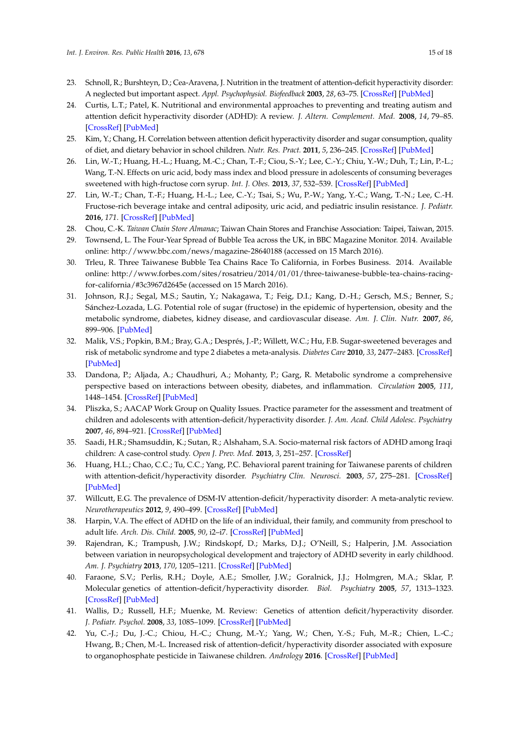- <span id="page-14-0"></span>23. Schnoll, R.; Burshteyn, D.; Cea-Aravena, J. Nutrition in the treatment of attention-deficit hyperactivity disorder: A neglected but important aspect. *Appl. Psychophysiol. Biofeedback* **2003**, *28*, 63–75. [\[CrossRef\]](http://dx.doi.org/10.1023/A:1022321017467) [\[PubMed\]](http://www.ncbi.nlm.nih.gov/pubmed/12737097)
- <span id="page-14-17"></span>24. Curtis, L.T.; Patel, K. Nutritional and environmental approaches to preventing and treating autism and attention deficit hyperactivity disorder (ADHD): A review. *J. Altern. Complement. Med.* **2008**, *14*, 79–85. [\[CrossRef\]](http://dx.doi.org/10.1089/acm.2007.0610) [\[PubMed\]](http://www.ncbi.nlm.nih.gov/pubmed/18199019)
- <span id="page-14-1"></span>25. Kim, Y.; Chang, H. Correlation between attention deficit hyperactivity disorder and sugar consumption, quality of diet, and dietary behavior in school children. *Nutr. Res. Pract.* **2011**, *5*, 236–245. [\[CrossRef\]](http://dx.doi.org/10.4162/nrp.2011.5.3.236) [\[PubMed\]](http://www.ncbi.nlm.nih.gov/pubmed/21779528)
- <span id="page-14-2"></span>26. Lin, W.-T.; Huang, H.-L.; Huang, M.-C.; Chan, T.-F.; Ciou, S.-Y.; Lee, C.-Y.; Chiu, Y.-W.; Duh, T.; Lin, P.-L.; Wang, T.-N. Effects on uric acid, body mass index and blood pressure in adolescents of consuming beverages sweetened with high-fructose corn syrup. *Int. J. Obes.* **2013**, *37*, 532–539. [\[CrossRef\]](http://dx.doi.org/10.1038/ijo.2012.121) [\[PubMed\]](http://www.ncbi.nlm.nih.gov/pubmed/22890489)
- <span id="page-14-3"></span>27. Lin, W.-T.; Chan, T.-F.; Huang, H.-L.; Lee, C.-Y.; Tsai, S.; Wu, P.-W.; Yang, Y.-C.; Wang, T.-N.; Lee, C.-H. Fructose-rich beverage intake and central adiposity, uric acid, and pediatric insulin resistance. *J. Pediatr.* **2016**, *171*. [\[CrossRef\]](http://dx.doi.org/10.1016/j.jpeds.2015.12.061) [\[PubMed\]](http://www.ncbi.nlm.nih.gov/pubmed/26817591)
- <span id="page-14-4"></span>28. Chou, C.-K. *Taiwan Chain Store Almanac*; Taiwan Chain Stores and Franchise Association: Taipei, Taiwan, 2015.
- <span id="page-14-5"></span>29. Townsend, L. The Four-Year Spread of Bubble Tea across the UK, in BBC Magazine Monitor. 2014. Available online: <http://www.bbc.com/news/magazine-28640188> (accessed on 15 March 2016).
- <span id="page-14-6"></span>30. Trleu, R. Three Taiwanese Bubble Tea Chains Race To California, in Forbes Business. 2014. Available online: [http://www.forbes.com/sites/rosatrieu/2014/01/01/three-taiwanese-bubble-tea-chains-racing](http://www.forbes.com/sites/rosatrieu/2014/01/01/three-taiwanese-bubble-tea-chains-racing-for-california/#3c3967d2645e)[for-california/#3c3967d2645e](http://www.forbes.com/sites/rosatrieu/2014/01/01/three-taiwanese-bubble-tea-chains-racing-for-california/#3c3967d2645e) (accessed on 15 March 2016).
- <span id="page-14-7"></span>31. Johnson, R.J.; Segal, M.S.; Sautin, Y.; Nakagawa, T.; Feig, D.I.; Kang, D.-H.; Gersch, M.S.; Benner, S.; Sánchez-Lozada, L.G. Potential role of sugar (fructose) in the epidemic of hypertension, obesity and the metabolic syndrome, diabetes, kidney disease, and cardiovascular disease. *Am. J. Clin. Nutr.* **2007**, *86*, 899–906. [\[PubMed\]](http://www.ncbi.nlm.nih.gov/pubmed/17921363)
- 32. Malik, V.S.; Popkin, B.M.; Bray, G.A.; Després, J.-P.; Willett, W.C.; Hu, F.B. Sugar-sweetened beverages and risk of metabolic syndrome and type 2 diabetes a meta-analysis. *Diabetes Care* **2010**, *33*, 2477–2483. [\[CrossRef\]](http://dx.doi.org/10.2337/dc10-1079) [\[PubMed\]](http://www.ncbi.nlm.nih.gov/pubmed/20693348)
- <span id="page-14-8"></span>33. Dandona, P.; Aljada, A.; Chaudhuri, A.; Mohanty, P.; Garg, R. Metabolic syndrome a comprehensive perspective based on interactions between obesity, diabetes, and inflammation. *Circulation* **2005**, *111*, 1448–1454. [\[CrossRef\]](http://dx.doi.org/10.1161/01.CIR.0000158483.13093.9D) [\[PubMed\]](http://www.ncbi.nlm.nih.gov/pubmed/15781756)
- <span id="page-14-9"></span>34. Pliszka, S.; AACAP Work Group on Quality Issues. Practice parameter for the assessment and treatment of children and adolescents with attention-deficit/hyperactivity disorder. *J. Am. Acad. Child Adolesc. Psychiatry* **2007**, *46*, 894–921. [\[CrossRef\]](http://dx.doi.org/10.1097/chi.0b013e318054e724) [\[PubMed\]](http://www.ncbi.nlm.nih.gov/pubmed/17581453)
- <span id="page-14-10"></span>35. Saadi, H.R.; Shamsuddin, K.; Sutan, R.; Alshaham, S.A. Socio-maternal risk factors of ADHD among Iraqi children: A case-control study. *Open J. Prev. Med.* **2013**, *3*, 251–257. [\[CrossRef\]](http://dx.doi.org/10.4236/ojpm.2013.32034)
- <span id="page-14-11"></span>36. Huang, H.L.; Chao, C.C.; Tu, C.C.; Yang, P.C. Behavioral parent training for Taiwanese parents of children with attention-deficit/hyperactivity disorder. *Psychiatry Clin. Neurosci.* **2003**, *57*, 275–281. [\[CrossRef\]](http://dx.doi.org/10.1046/j.1440-1819.2003.01117.x) [\[PubMed\]](http://www.ncbi.nlm.nih.gov/pubmed/12753567)
- <span id="page-14-12"></span>37. Willcutt, E.G. The prevalence of DSM-IV attention-deficit/hyperactivity disorder: A meta-analytic review. *Neurotherapeutics* **2012**, *9*, 490–499. [\[CrossRef\]](http://dx.doi.org/10.1007/s13311-012-0135-8) [\[PubMed\]](http://www.ncbi.nlm.nih.gov/pubmed/22976615)
- <span id="page-14-13"></span>38. Harpin, V.A. The effect of ADHD on the life of an individual, their family, and community from preschool to adult life. *Arch. Dis. Child.* **2005**, *90*, i2–i7. [\[CrossRef\]](http://dx.doi.org/10.1136/adc.2004.059006) [\[PubMed\]](http://www.ncbi.nlm.nih.gov/pubmed/15665153)
- <span id="page-14-14"></span>39. Rajendran, K.; Trampush, J.W.; Rindskopf, D.; Marks, D.J.; O'Neill, S.; Halperin, J.M. Association between variation in neuropsychological development and trajectory of ADHD severity in early childhood. *Am. J. Psychiatry* **2013**, *170*, 1205–1211. [\[CrossRef\]](http://dx.doi.org/10.1176/appi.ajp.2012.12101360) [\[PubMed\]](http://www.ncbi.nlm.nih.gov/pubmed/23897408)
- <span id="page-14-15"></span>40. Faraone, S.V.; Perlis, R.H.; Doyle, A.E.; Smoller, J.W.; Goralnick, J.J.; Holmgren, M.A.; Sklar, P. Molecular genetics of attention-deficit/hyperactivity disorder. *Biol. Psychiatry* **2005**, *57*, 1313–1323. [\[CrossRef\]](http://dx.doi.org/10.1016/j.biopsych.2004.11.024) [\[PubMed\]](http://www.ncbi.nlm.nih.gov/pubmed/15950004)
- 41. Wallis, D.; Russell, H.F.; Muenke, M. Review: Genetics of attention deficit/hyperactivity disorder. *J. Pediatr. Psychol.* **2008**, *33*, 1085–1099. [\[CrossRef\]](http://dx.doi.org/10.1093/jpepsy/jsn049) [\[PubMed\]](http://www.ncbi.nlm.nih.gov/pubmed/18522996)
- <span id="page-14-16"></span>42. Yu, C.-J.; Du, J.-C.; Chiou, H.-C.; Chung, M.-Y.; Yang, W.; Chen, Y.-S.; Fuh, M.-R.; Chien, L.-C.; Hwang, B.; Chen, M.-L. Increased risk of attention-deficit/hyperactivity disorder associated with exposure to organophosphate pesticide in Taiwanese children. *Andrology* **2016**. [\[CrossRef\]](http://dx.doi.org/10.1111/andr.12183) [\[PubMed\]](http://www.ncbi.nlm.nih.gov/pubmed/27070915)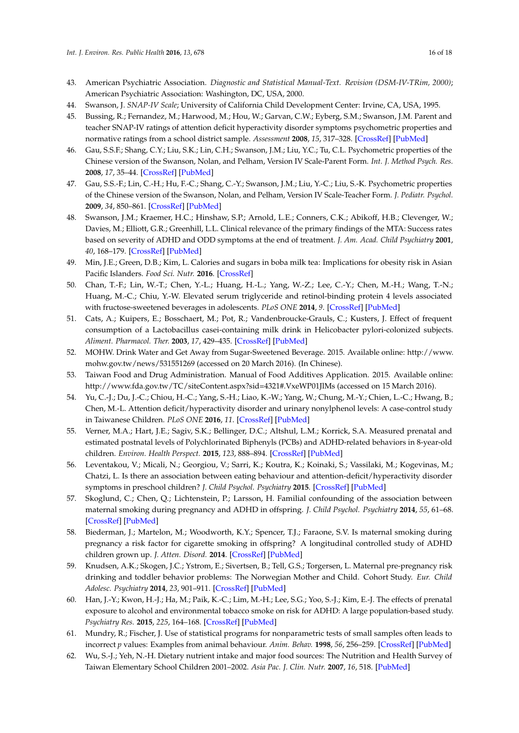- <span id="page-15-0"></span>43. American Psychiatric Association. *Diagnostic and Statistical Manual-Text. Revision (DSM-IV-TRim, 2000)*; American Psychiatric Association: Washington, DC, USA, 2000.
- <span id="page-15-1"></span>44. Swanson, J. *SNAP-IV Scale*; University of California Child Development Center: Irvine, CA, USA, 1995.
- <span id="page-15-2"></span>45. Bussing, R.; Fernandez, M.; Harwood, M.; Hou, W.; Garvan, C.W.; Eyberg, S.M.; Swanson, J.M. Parent and teacher SNAP-IV ratings of attention deficit hyperactivity disorder symptoms psychometric properties and normative ratings from a school district sample. *Assessment* **2008**, *15*, 317–328. [\[CrossRef\]](http://dx.doi.org/10.1177/1073191107313888) [\[PubMed\]](http://www.ncbi.nlm.nih.gov/pubmed/18310593)
- <span id="page-15-3"></span>46. Gau, S.S.F.; Shang, C.Y.; Liu, S.K.; Lin, C.H.; Swanson, J.M.; Liu, Y.C.; Tu, C.L. Psychometric properties of the Chinese version of the Swanson, Nolan, and Pelham, Version IV Scale-Parent Form. *Int. J. Method Psych. Res.* **2008**, *17*, 35–44. [\[CrossRef\]](http://dx.doi.org/10.1002/mpr.237) [\[PubMed\]](http://www.ncbi.nlm.nih.gov/pubmed/18286459)
- <span id="page-15-4"></span>47. Gau, S.S.-F.; Lin, C.-H.; Hu, F.-C.; Shang, C.-Y.; Swanson, J.M.; Liu, Y.-C.; Liu, S.-K. Psychometric properties of the Chinese version of the Swanson, Nolan, and Pelham, Version IV Scale-Teacher Form. *J. Pediatr. Psychol.* **2009**, *34*, 850–861. [\[CrossRef\]](http://dx.doi.org/10.1093/jpepsy/jsn133) [\[PubMed\]](http://www.ncbi.nlm.nih.gov/pubmed/19074488)
- <span id="page-15-5"></span>48. Swanson, J.M.; Kraemer, H.C.; Hinshaw, S.P.; Arnold, L.E.; Conners, C.K.; Abikoff, H.B.; Clevenger, W.; Davies, M.; Elliott, G.R.; Greenhill, L.L. Clinical relevance of the primary findings of the MTA: Success rates based on severity of ADHD and ODD symptoms at the end of treatment. *J. Am. Acad. Child Psychiatry* **2001**, *40*, 168–179. [\[CrossRef\]](http://dx.doi.org/10.1097/00004583-200102000-00011) [\[PubMed\]](http://www.ncbi.nlm.nih.gov/pubmed/11211365)
- <span id="page-15-6"></span>49. Min, J.E.; Green, D.B.; Kim, L. Calories and sugars in boba milk tea: Implications for obesity risk in Asian Pacific Islanders. *Food Sci. Nutr.* **2016**. [\[CrossRef\]](http://dx.doi.org/10.1002/fsn3.362)
- <span id="page-15-7"></span>50. Chan, T.-F.; Lin, W.-T.; Chen, Y.-L.; Huang, H.-L.; Yang, W.-Z.; Lee, C.-Y.; Chen, M.-H.; Wang, T.-N.; Huang, M.-C.; Chiu, Y.-W. Elevated serum triglyceride and retinol-binding protein 4 levels associated with fructose-sweetened beverages in adolescents. *PLoS ONE* **2014**, *9*. [\[CrossRef\]](http://dx.doi.org/10.1371/journal.pone.0082004) [\[PubMed\]](http://www.ncbi.nlm.nih.gov/pubmed/24475021)
- <span id="page-15-8"></span>51. Cats, A.; Kuipers, E.; Bosschaert, M.; Pot, R.; Vandenbroucke-Grauls, C.; Kusters, J. Effect of frequent consumption of a Lactobacillus casei-containing milk drink in Helicobacter pylori-colonized subjects. *Aliment. Pharmacol. Ther.* **2003**, *17*, 429–435. [\[CrossRef\]](http://dx.doi.org/10.1046/j.1365-2036.2003.01452.x) [\[PubMed\]](http://www.ncbi.nlm.nih.gov/pubmed/12562457)
- <span id="page-15-9"></span>52. MOHW. Drink Water and Get Away from Sugar-Sweetened Beverage. 2015. Available online: [http://www.](http://www.mohw.gov.tw/news/531551269) [mohw.gov.tw/news/531551269](http://www.mohw.gov.tw/news/531551269) (accessed on 20 March 2016). (In Chinese).
- <span id="page-15-10"></span>53. Taiwan Food and Drug Administration. Manual of Food Additives Application. 2015. Available online: <http://www.fda.gov.tw/TC/siteContent.aspx?sid=4321#.VxeWP01JlMs> (accessed on 15 March 2016).
- <span id="page-15-11"></span>54. Yu, C.-J.; Du, J.-C.; Chiou, H.-C.; Yang, S.-H.; Liao, K.-W.; Yang, W.; Chung, M.-Y.; Chien, L.-C.; Hwang, B.; Chen, M.-L. Attention deficit/hyperactivity disorder and urinary nonylphenol levels: A case-control study in Taiwanese Children. *PLoS ONE* **2016**, *11*. [\[CrossRef\]](http://dx.doi.org/10.1371/journal.pone.0149558) [\[PubMed\]](http://www.ncbi.nlm.nih.gov/pubmed/26890918)
- <span id="page-15-12"></span>55. Verner, M.A.; Hart, J.E.; Sagiv, S.K.; Bellinger, D.C.; Altshul, L.M.; Korrick, S.A. Measured prenatal and estimated postnatal levels of Polychlorinated Biphenyls (PCBs) and ADHD-related behaviors in 8-year-old children. *Environ. Health Perspect.* **2015**, *123*, 888–894. [\[CrossRef\]](http://dx.doi.org/10.1289/ehp.1408084) [\[PubMed\]](http://www.ncbi.nlm.nih.gov/pubmed/25769180)
- <span id="page-15-13"></span>56. Leventakou, V.; Micali, N.; Georgiou, V.; Sarri, K.; Koutra, K.; Koinaki, S.; Vassilaki, M.; Kogevinas, M.; Chatzi, L. Is there an association between eating behaviour and attention-deficit/hyperactivity disorder symptoms in preschool children? *J. Child Psychol. Psychiatry* **2015**. [\[CrossRef\]](http://dx.doi.org/10.1111/jcpp.12504) [\[PubMed\]](http://www.ncbi.nlm.nih.gov/pubmed/26706046)
- <span id="page-15-14"></span>57. Skoglund, C.; Chen, Q.; Lichtenstein, P.; Larsson, H. Familial confounding of the association between maternal smoking during pregnancy and ADHD in offspring. *J. Child Psychol. Psychiatry* **2014**, *55*, 61–68. [\[CrossRef\]](http://dx.doi.org/10.1111/jcpp.12124) [\[PubMed\]](http://www.ncbi.nlm.nih.gov/pubmed/25359172)
- 58. Biederman, J.; Martelon, M.; Woodworth, K.Y.; Spencer, T.J.; Faraone, S.V. Is maternal smoking during pregnancy a risk factor for cigarette smoking in offspring? A longitudinal controlled study of ADHD children grown up. *J. Atten. Disord.* **2014**. [\[CrossRef\]](http://dx.doi.org/10.1177/1087054714557357) [\[PubMed\]](http://www.ncbi.nlm.nih.gov/pubmed/25416463)
- <span id="page-15-15"></span>59. Knudsen, A.K.; Skogen, J.C.; Ystrom, E.; Sivertsen, B.; Tell, G.S.; Torgersen, L. Maternal pre-pregnancy risk drinking and toddler behavior problems: The Norwegian Mother and Child. Cohort Study. *Eur. Child Adolesc. Psychiatry* **2014**, *23*, 901–911. [\[CrossRef\]](http://dx.doi.org/10.1007/s00787-014-0588-x) [\[PubMed\]](http://www.ncbi.nlm.nih.gov/pubmed/25053124)
- <span id="page-15-16"></span>60. Han, J.-Y.; Kwon, H.-J.; Ha, M.; Paik, K.-C.; Lim, M.-H.; Lee, S.G.; Yoo, S.-J.; Kim, E.-J. The effects of prenatal exposure to alcohol and environmental tobacco smoke on risk for ADHD: A large population-based study. *Psychiatry Res.* **2015**, *225*, 164–168. [\[CrossRef\]](http://dx.doi.org/10.1016/j.psychres.2014.11.009) [\[PubMed\]](http://www.ncbi.nlm.nih.gov/pubmed/25481018)
- <span id="page-15-17"></span>61. Mundry, R.; Fischer, J. Use of statistical programs for nonparametric tests of small samples often leads to incorrect *p* values: Examples from animal behaviour. *Anim. Behav.* **1998**, *56*, 256–259. [\[CrossRef\]](http://dx.doi.org/10.1006/anbe.1998.0756) [\[PubMed\]](http://www.ncbi.nlm.nih.gov/pubmed/9710485)
- <span id="page-15-18"></span>62. Wu, S.-J.; Yeh, N.-H. Dietary nutrient intake and major food sources: The Nutrition and Health Survey of Taiwan Elementary School Children 2001–2002. *Asia Pac. J. Clin. Nutr.* **2007**, *16*, 518. [\[PubMed\]](http://www.ncbi.nlm.nih.gov/pubmed/17723992)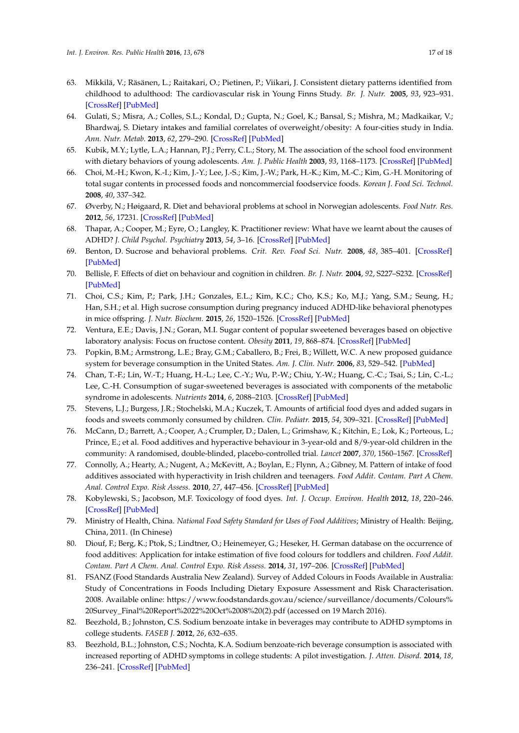- <span id="page-16-0"></span>63. Mikkilä, V.; Räsänen, L.; Raitakari, O.; Pietinen, P.; Viikari, J. Consistent dietary patterns identified from childhood to adulthood: The cardiovascular risk in Young Finns Study. *Br. J. Nutr.* **2005**, *93*, 923–931. [\[CrossRef\]](http://dx.doi.org/10.1079/BJN20051418) [\[PubMed\]](http://www.ncbi.nlm.nih.gov/pubmed/16022763)
- <span id="page-16-1"></span>64. Gulati, S.; Misra, A.; Colles, S.L.; Kondal, D.; Gupta, N.; Goel, K.; Bansal, S.; Mishra, M.; Madkaikar, V.; Bhardwaj, S. Dietary intakes and familial correlates of overweight/obesity: A four-cities study in India. *Ann. Nutr. Metab.* **2013**, *62*, 279–290. [\[CrossRef\]](http://dx.doi.org/10.1159/000346554) [\[PubMed\]](http://www.ncbi.nlm.nih.gov/pubmed/23689065)
- <span id="page-16-2"></span>65. Kubik, M.Y.; Lytle, L.A.; Hannan, P.J.; Perry, C.L.; Story, M. The association of the school food environment with dietary behaviors of young adolescents. *Am. J. Public Health* **2003**, *93*, 1168–1173. [\[CrossRef\]](http://dx.doi.org/10.2105/AJPH.93.7.1168) [\[PubMed\]](http://www.ncbi.nlm.nih.gov/pubmed/12835204)
- <span id="page-16-3"></span>66. Choi, M.-H.; Kwon, K.-I.; Kim, J.-Y.; Lee, J.-S.; Kim, J.-W.; Park, H.-K.; Kim, M.-C.; Kim, G.-H. Monitoring of total sugar contents in processed foods and noncommercial foodservice foods. *Korean J. Food Sci. Technol.* **2008**, *40*, 337–342.
- <span id="page-16-4"></span>67. Øverby, N.; Høigaard, R. Diet and behavioral problems at school in Norwegian adolescents. *Food Nutr. Res.* **2012**, *56*, 17231. [\[CrossRef\]](http://dx.doi.org/10.3402/fnr.v56i0.17231) [\[PubMed\]](http://www.ncbi.nlm.nih.gov/pubmed/22761600)
- <span id="page-16-5"></span>68. Thapar, A.; Cooper, M.; Eyre, O.; Langley, K. Practitioner review: What have we learnt about the causes of ADHD? *J. Child Psychol. Psychiatry* **2013**, *54*, 3–16. [\[CrossRef\]](http://dx.doi.org/10.1111/j.1469-7610.2012.02611.x) [\[PubMed\]](http://www.ncbi.nlm.nih.gov/pubmed/22963644)
- <span id="page-16-6"></span>69. Benton, D. Sucrose and behavioral problems. *Crit. Rev. Food Sci. Nutr.* **2008**, *48*, 385–401. [\[CrossRef\]](http://dx.doi.org/10.1080/10408390701407316) [\[PubMed\]](http://www.ncbi.nlm.nih.gov/pubmed/18464029)
- <span id="page-16-7"></span>70. Bellisle, F. Effects of diet on behaviour and cognition in children. *Br. J. Nutr.* **2004**, *92*, S227–S232. [\[CrossRef\]](http://dx.doi.org/10.1079/BJN20041171) [\[PubMed\]](http://www.ncbi.nlm.nih.gov/pubmed/15522161)
- <span id="page-16-8"></span>71. Choi, C.S.; Kim, P.; Park, J.H.; Gonzales, E.L.; Kim, K.C.; Cho, K.S.; Ko, M.J.; Yang, S.M.; Seung, H.; Han, S.H.; et al. High sucrose consumption during pregnancy induced ADHD-like behavioral phenotypes in mice offspring. *J. Nutr. Biochem.* **2015**, *26*, 1520–1526. [\[CrossRef\]](http://dx.doi.org/10.1016/j.jnutbio.2015.07.018) [\[PubMed\]](http://www.ncbi.nlm.nih.gov/pubmed/26452319)
- <span id="page-16-9"></span>72. Ventura, E.E.; Davis, J.N.; Goran, M.I. Sugar content of popular sweetened beverages based on objective laboratory analysis: Focus on fructose content. *Obesity* **2011**, *19*, 868–874. [\[CrossRef\]](http://dx.doi.org/10.1038/oby.2010.255) [\[PubMed\]](http://www.ncbi.nlm.nih.gov/pubmed/20948525)
- <span id="page-16-10"></span>73. Popkin, B.M.; Armstrong, L.E.; Bray, G.M.; Caballero, B.; Frei, B.; Willett, W.C. A new proposed guidance system for beverage consumption in the United States. *Am. J. Clin. Nutr.* **2006**, *83*, 529–542. [\[PubMed\]](http://www.ncbi.nlm.nih.gov/pubmed/16522898)
- <span id="page-16-11"></span>74. Chan, T.-F.; Lin, W.-T.; Huang, H.-L.; Lee, C.-Y.; Wu, P.-W.; Chiu, Y.-W.; Huang, C.-C.; Tsai, S.; Lin, C.-L.; Lee, C.-H. Consumption of sugar-sweetened beverages is associated with components of the metabolic syndrome in adolescents. *Nutrients* **2014**, *6*, 2088–2103. [\[CrossRef\]](http://dx.doi.org/10.3390/nu6052088) [\[PubMed\]](http://www.ncbi.nlm.nih.gov/pubmed/24858495)
- <span id="page-16-12"></span>75. Stevens, L.J.; Burgess, J.R.; Stochelski, M.A.; Kuczek, T. Amounts of artificial food dyes and added sugars in foods and sweets commonly consumed by children. *Clin. Pediatr.* **2015**, *54*, 309–321. [\[CrossRef\]](http://dx.doi.org/10.1177/0009922814530803) [\[PubMed\]](http://www.ncbi.nlm.nih.gov/pubmed/24764054)
- <span id="page-16-18"></span>76. McCann, D.; Barrett, A.; Cooper, A.; Crumpler, D.; Dalen, L.; Grimshaw, K.; Kitchin, E.; Lok, K.; Porteous, L.; Prince, E.; et al. Food additives and hyperactive behaviour in 3-year-old and 8/9-year-old children in the community: A randomised, double-blinded, placebo-controlled trial. *Lancet* **2007**, *370*, 1560–1567. [\[CrossRef\]](http://dx.doi.org/10.1016/S0140-6736(07)61306-3)
- <span id="page-16-13"></span>77. Connolly, A.; Hearty, A.; Nugent, A.; McKevitt, A.; Boylan, E.; Flynn, A.; Gibney, M. Pattern of intake of food additives associated with hyperactivity in Irish children and teenagers. *Food Addit. Contam. Part A Chem. Anal. Control Expo. Risk Assess.* **2010**, *27*, 447–456. [\[CrossRef\]](http://dx.doi.org/10.1080/19440040903470718) [\[PubMed\]](http://www.ncbi.nlm.nih.gov/pubmed/20013441)
- <span id="page-16-14"></span>78. Kobylewski, S.; Jacobson, M.F. Toxicology of food dyes. *Int. J. Occup. Environ. Health* **2012**, *18*, 220–246. [\[CrossRef\]](http://dx.doi.org/10.1179/1077352512Z.00000000034) [\[PubMed\]](http://www.ncbi.nlm.nih.gov/pubmed/23026007)
- <span id="page-16-15"></span>79. Ministry of Health, China. *National Food Safety Standard for Uses of Food Additives*; Ministry of Health: Beijing, China, 2011. (In Chinese)
- <span id="page-16-16"></span>80. Diouf, F.; Berg, K.; Ptok, S.; Lindtner, O.; Heinemeyer, G.; Heseker, H. German database on the occurrence of food additives: Application for intake estimation of five food colours for toddlers and children. *Food Addit. Contam. Part A Chem. Anal. Control Expo. Risk Assess.* **2014**, *31*, 197–206. [\[CrossRef\]](http://dx.doi.org/10.1080/19440049.2013.865146) [\[PubMed\]](http://www.ncbi.nlm.nih.gov/pubmed/24229358)
- <span id="page-16-17"></span>81. FSANZ (Food Standards Australia New Zealand). Survey of Added Colours in Foods Available in Australia: Study of Concentrations in Foods Including Dietary Exposure Assessment and Risk Characterisation. 2008. Available online: [https://www.foodstandards.gov.au/science/surveillance/documents/Colours%](https://www.foodstandards.gov.au/science/surveillance/documents/Colours%20Survey_Final%20Report%2022%20Oct%2008%20(2).pdf) [20Survey\\_Final%20Report%2022%20Oct%2008%20\(2\).pdf](https://www.foodstandards.gov.au/science/surveillance/documents/Colours%20Survey_Final%20Report%2022%20Oct%2008%20(2).pdf) (accessed on 19 March 2016).
- <span id="page-16-19"></span>82. Beezhold, B.; Johnston, C.S. Sodium benzoate intake in beverages may contribute to ADHD symptoms in college students. *FASEB J.* **2012**, *26*, 632–635.
- <span id="page-16-20"></span>83. Beezhold, B.L.; Johnston, C.S.; Nochta, K.A. Sodium benzoate-rich beverage consumption is associated with increased reporting of ADHD symptoms in college students: A pilot investigation. *J. Atten. Disord.* **2014**, *18*, 236–241. [\[CrossRef\]](http://dx.doi.org/10.1177/1087054712443156) [\[PubMed\]](http://www.ncbi.nlm.nih.gov/pubmed/22538314)